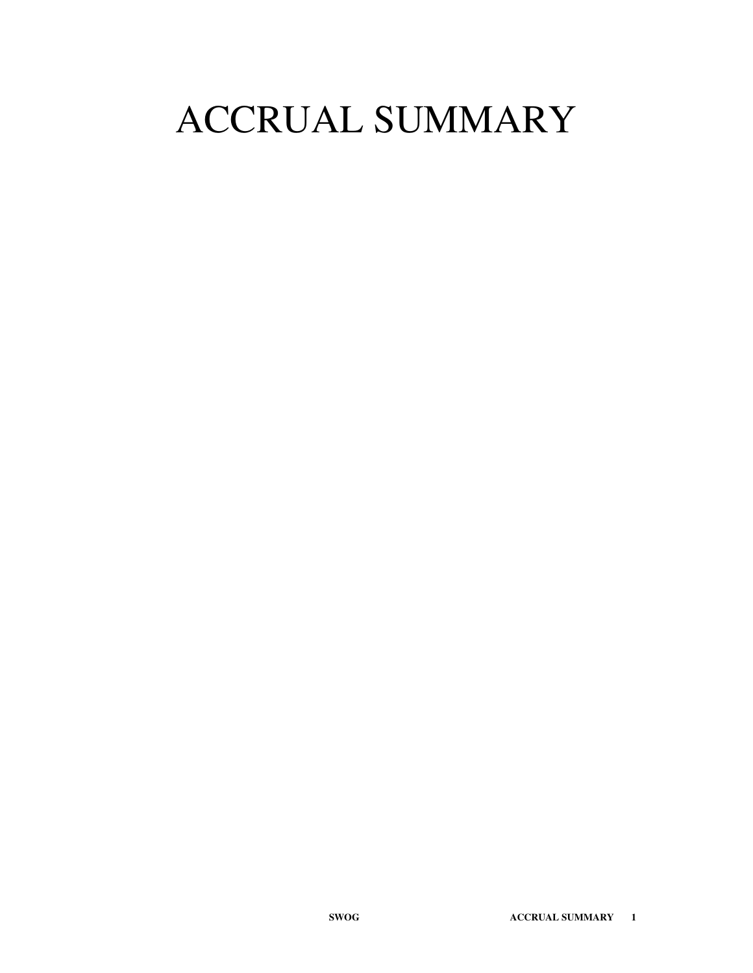# ACCRUAL SUMMARY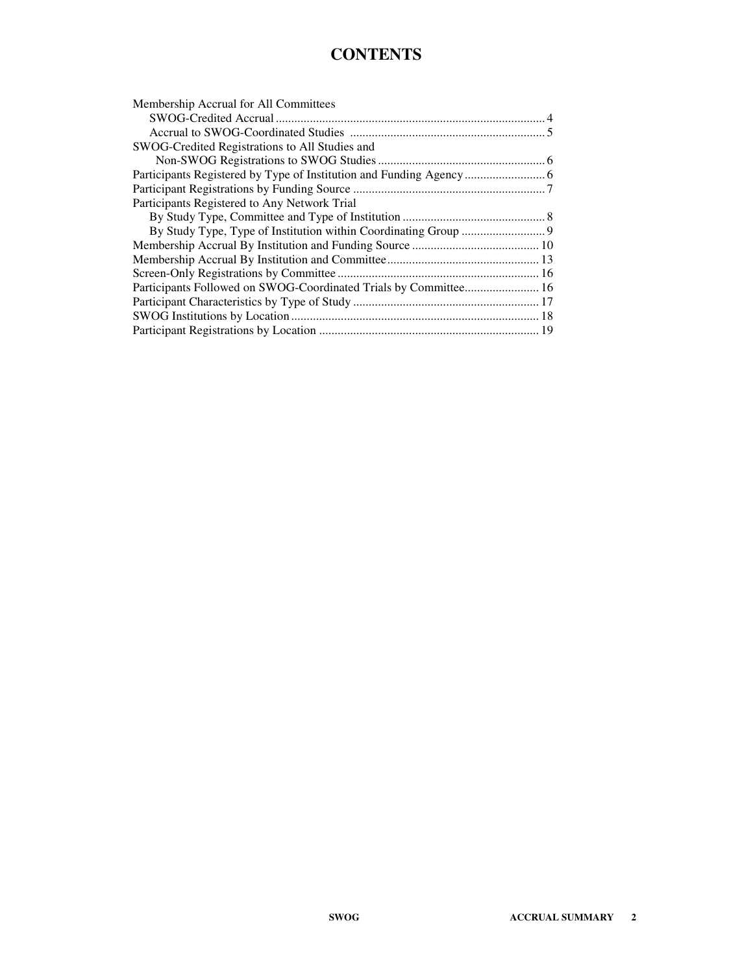#### **CONTENTS**

| Membership Accrual for All Committees                            |  |
|------------------------------------------------------------------|--|
|                                                                  |  |
|                                                                  |  |
| SWOG-Credited Registrations to All Studies and                   |  |
|                                                                  |  |
|                                                                  |  |
|                                                                  |  |
| Participants Registered to Any Network Trial                     |  |
|                                                                  |  |
|                                                                  |  |
|                                                                  |  |
|                                                                  |  |
|                                                                  |  |
| Participants Followed on SWOG-Coordinated Trials by Committee 16 |  |
|                                                                  |  |
|                                                                  |  |
|                                                                  |  |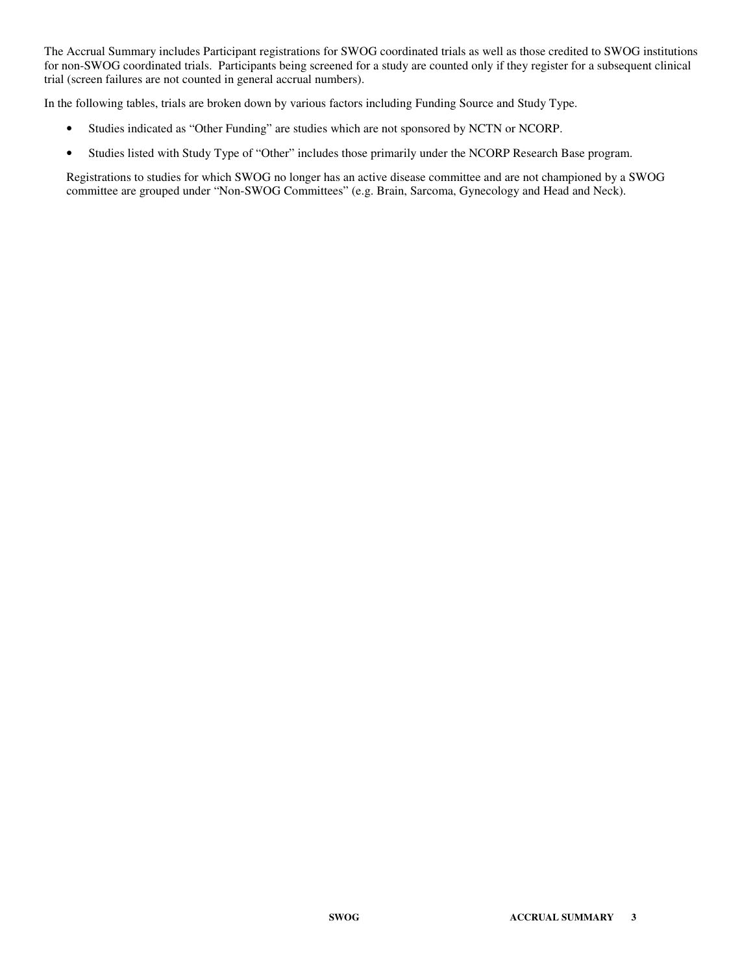The Accrual Summary includes Participant registrations for SWOG coordinated trials as well as those credited to SWOG institutions for non-SWOG coordinated trials. Participants being screened for a study are counted only if they register for a subsequent clinical trial (screen failures are not counted in general accrual numbers).

In the following tables, trials are broken down by various factors including Funding Source and Study Type.

- Studies indicated as "Other Funding" are studies which are not sponsored by NCTN or NCORP.
- Studies listed with Study Type of "Other" includes those primarily under the NCORP Research Base program.

Registrations to studies for which SWOG no longer has an active disease committee and are not championed by a SWOG committee are grouped under "Non-SWOG Committees" (e.g. Brain, Sarcoma, Gynecology and Head and Neck).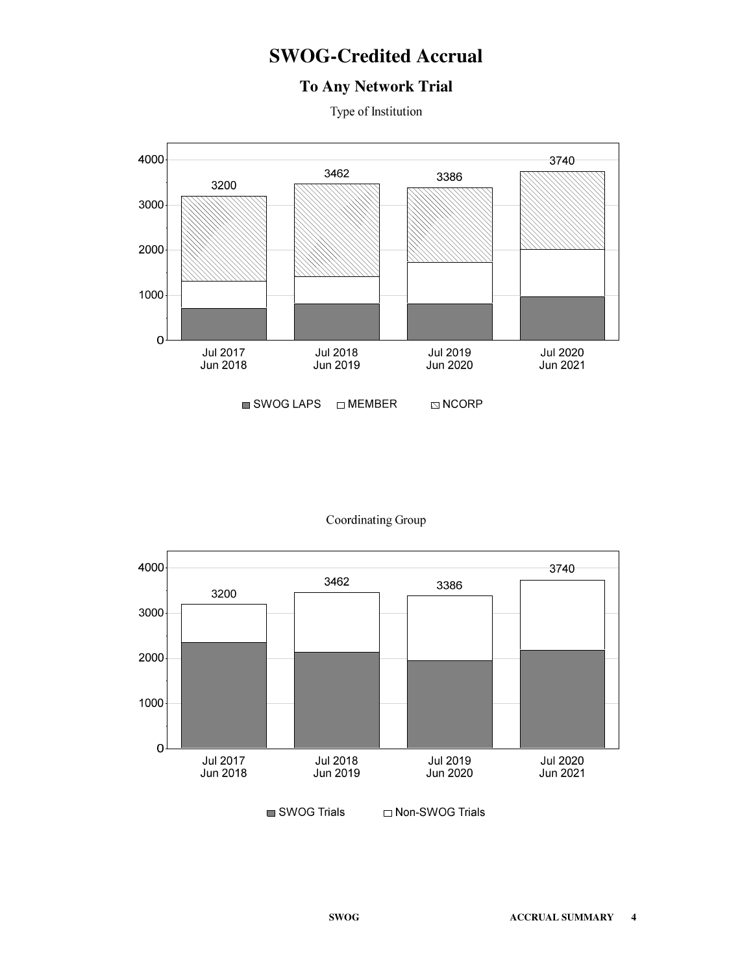# **SWOG-Credited Accrual**

#### **To Any Network Trial**

Type of Institution



#### Coordinating Group

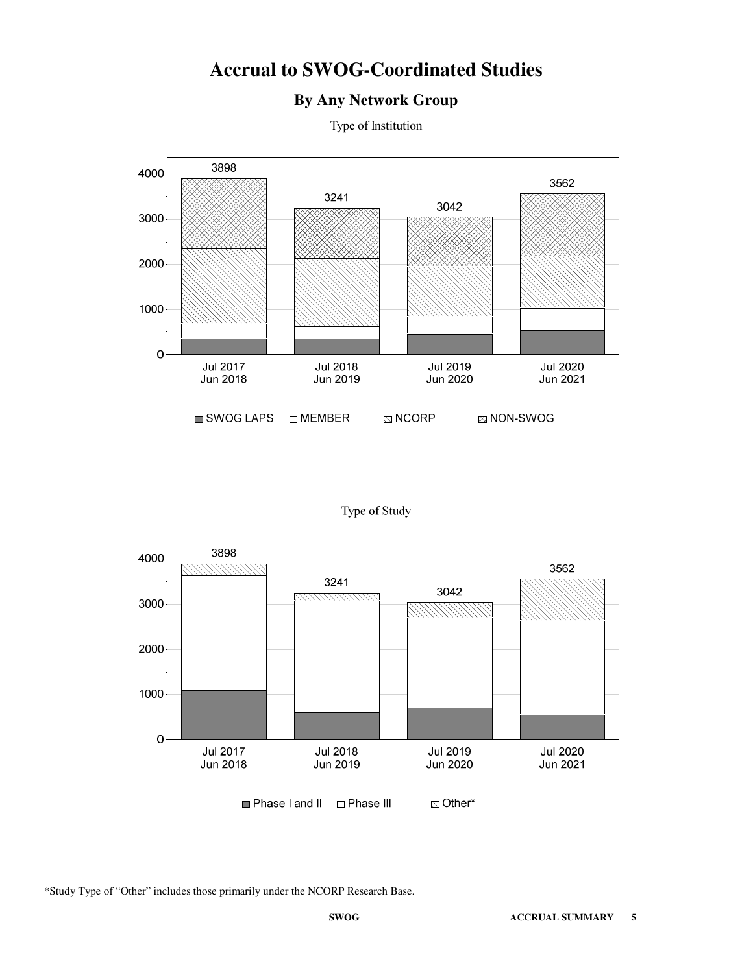#### **Accrual to SWOG-Coordinated Studies**

#### **By Any Network Group**

Type of Institution



Type of Study



\*Study Type of "Other" includes those primarily under the NCORP Research Base.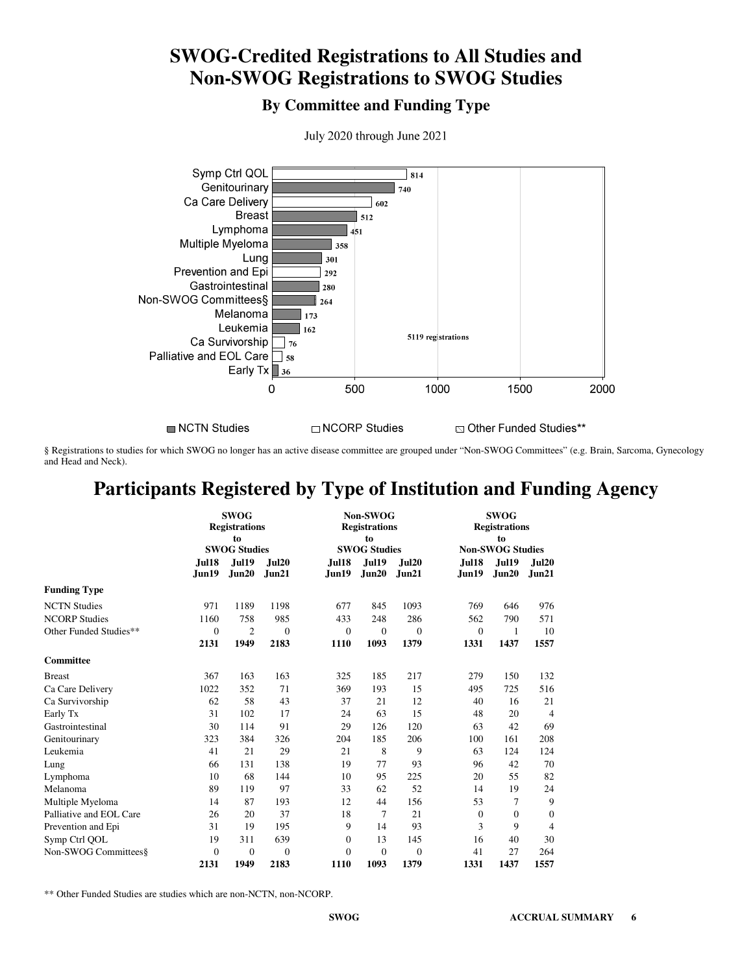# **SWOG-Credited Registrations to All Studies and Non-SWOG Registrations to SWOG Studies**

**By Committee and Funding Type**



July 2020 through June 2021

NCTN Studies

 $\Box$  NCORP Studies

⊠ Other Funded Studies\*\*

§ Registrations to studies for which SWOG no longer has an active disease committee are grouped under "Non-SWOG Committees" (e.g. Brain, Sarcoma, Gynecology and Head and Neck).

# **Participants Registered by Type of Institution and Funding Agency**

|                         |                       | <b>SWOG</b><br><b>Registrations</b><br>to<br><b>SWOG Studies</b> |                |                  | <b>Non-SWOG</b><br><b>Registrations</b><br>to<br><b>SWOG Studies</b> |                | <b>SWOG</b><br><b>Registrations</b><br>to<br><b>Non-SWOG Studies</b> |                       |                |  |  |  |
|-------------------------|-----------------------|------------------------------------------------------------------|----------------|------------------|----------------------------------------------------------------------|----------------|----------------------------------------------------------------------|-----------------------|----------------|--|--|--|
|                         | <b>Jul18</b><br>Jun19 | <b>Jul19</b><br>Jun20                                            | Jul20<br>Jun21 | Jul18<br>Jun19   | <b>Jul19</b><br>Jun20                                                | Jul20<br>Jun21 | Jul18<br>Jun19                                                       | <b>Jul19</b><br>Jun20 | Jul20<br>Jun21 |  |  |  |
| <b>Funding Type</b>     |                       |                                                                  |                |                  |                                                                      |                |                                                                      |                       |                |  |  |  |
| <b>NCTN Studies</b>     | 971                   | 1189                                                             | 1198           | 677              | 845                                                                  | 1093           | 769                                                                  | 646                   | 976            |  |  |  |
| <b>NCORP Studies</b>    | 1160                  | 758                                                              | 985            | 433              | 248                                                                  | 286            | 562                                                                  | 790                   | 571            |  |  |  |
| Other Funded Studies**  | $\overline{0}$        | $\overline{c}$                                                   | $\mathbf{0}$   | $\mathbf{0}$     | $\mathbf{0}$                                                         | $\theta$       | $\theta$                                                             | 1                     | 10             |  |  |  |
|                         | 2131                  | 1949                                                             | 2183           | 1110             | 1093                                                                 | 1379           | 1331                                                                 | 1437                  | 1557           |  |  |  |
| Committee               |                       |                                                                  |                |                  |                                                                      |                |                                                                      |                       |                |  |  |  |
| <b>Breast</b>           | 367                   | 163                                                              | 163            | 325              | 185                                                                  | 217            | 279                                                                  | 150                   | 132            |  |  |  |
| Ca Care Delivery        | 1022                  | 352                                                              | 71             | 369              | 193                                                                  | 15             | 495                                                                  | 725                   | 516            |  |  |  |
| Ca Survivorship         | 62                    | 58                                                               | 43             | 37               | 21                                                                   | 12             | 40                                                                   | 16                    | 21             |  |  |  |
| Early Tx                | 31                    | 102                                                              | 17             | 24               | 63                                                                   | 15             | 48                                                                   | 20                    | $\overline{4}$ |  |  |  |
| Gastrointestinal        | 30                    | 114                                                              | 91             | 29               | 126                                                                  | 120            | 63                                                                   | 42                    | 69             |  |  |  |
| Genitourinary           | 323                   | 384                                                              | 326            | 204              | 185                                                                  | 206            | 100                                                                  | 161                   | 208            |  |  |  |
| Leukemia                | 41                    | 21                                                               | 29             | 21               | 8                                                                    | 9              | 63                                                                   | 124                   | 124            |  |  |  |
| Lung                    | 66                    | 131                                                              | 138            | 19               | 77                                                                   | 93             | 96                                                                   | 42                    | 70             |  |  |  |
| Lymphoma                | 10                    | 68                                                               | 144            | 10               | 95                                                                   | 225            | 20                                                                   | 55                    | 82             |  |  |  |
| Melanoma                | 89                    | 119                                                              | 97             | 33               | 62                                                                   | 52             | 14                                                                   | 19                    | 24             |  |  |  |
| Multiple Myeloma        | 14                    | 87                                                               | 193            | 12               | 44                                                                   | 156            | 53                                                                   | 7                     | 9              |  |  |  |
| Palliative and EOL Care | 26                    | 20                                                               | 37             | 18               | $\tau$                                                               | 21             | $\theta$                                                             | $\theta$              | $\overline{0}$ |  |  |  |
| Prevention and Epi      | 31                    | 19                                                               | 195            | 9                | 14                                                                   | 93             | 3                                                                    | 9                     | $\overline{4}$ |  |  |  |
| Symp Ctrl QOL           | 19                    | 311                                                              | 639            | $\boldsymbol{0}$ | 13                                                                   | 145            | 16                                                                   | 40                    | 30             |  |  |  |
| Non-SWOG Committees§    | $\overline{0}$        | $\theta$                                                         | $\Omega$       | $\theta$         | $\Omega$                                                             | $\overline{0}$ | 41                                                                   | 27                    | 264            |  |  |  |
|                         | 2131                  | 1949                                                             | 2183           | 1110             | 1093                                                                 | 1379           | 1331                                                                 | 1437                  | 1557           |  |  |  |

\*\* Other Funded Studies are studies which are non-NCTN, non-NCORP.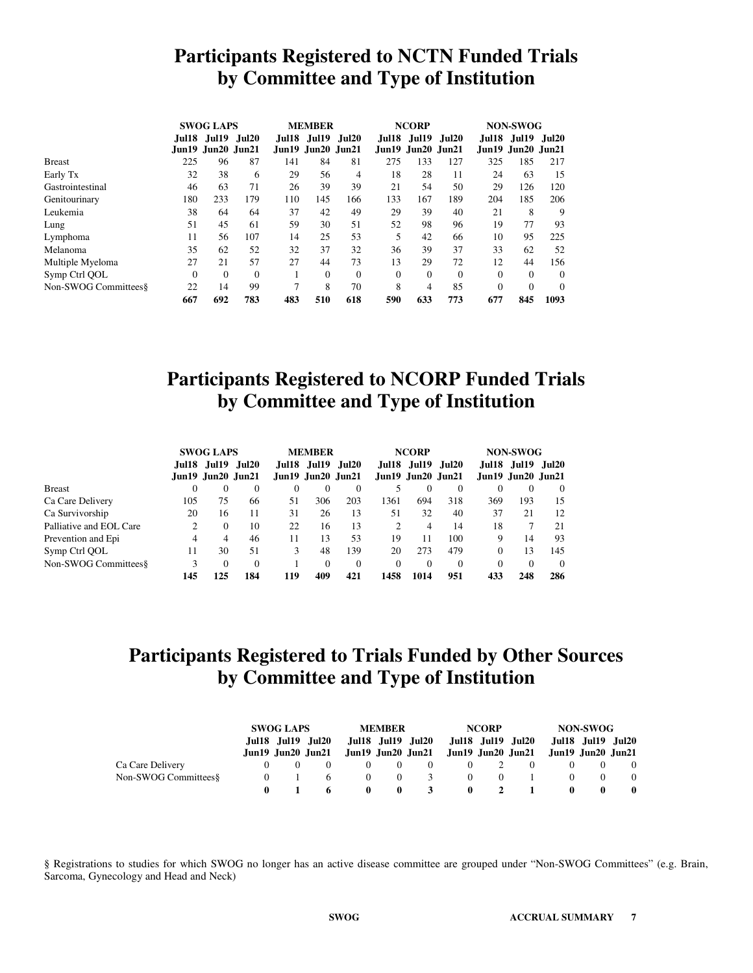## **Participants Registered to NCTN Funded Trials by Committee and Type of Institution**

|                       | <b>SWOG LAPS</b> |                   |              |       | <b>MEMBER</b>                     |              |              | <b>NCORP</b>                      |              | <b>NON-SWOG</b> |                                   |              |  |  |
|-----------------------|------------------|-------------------|--------------|-------|-----------------------------------|--------------|--------------|-----------------------------------|--------------|-----------------|-----------------------------------|--------------|--|--|
|                       | Jul 18           | Jun19 Jun20 Jun21 | Jul19 Jul20  | Jul18 | Jul19<br><b>Jun19</b> Jun20 Jun21 | <b>Jul20</b> | Jul18        | <b>Jul19</b><br>Jun19 Jun20 Jun21 | <b>Jul20</b> | Jul18           | <b>Jul19</b><br>Jun19 Jun20 Jun21 | <b>Jul20</b> |  |  |
| <b>Breast</b>         | 225              | 96                | 87           | 141   | 84                                | 81           | 275          | 133                               | 127          | 325             | 185                               | 217          |  |  |
| Early Tx              | 32               | 38                | 6            | 29    | 56                                | 4            | 18           | 28                                | 11           | 24              | 63                                | 15           |  |  |
| Gastrointestinal      | 46               | 63                | 71           | 26    | 39                                | 39           | 21           | 54                                | 50           | 29              | 126                               | 120          |  |  |
| Genitourinary         | 180              | 233               | 179          | 110   | 145                               | 166          | 133          | 167                               | 189          | 204             | 185                               | 206          |  |  |
| Leukemia              | 38               | 64                | 64           | 37    | 42                                | 49           | 29           | 39                                | 40           | 21              | 8                                 | 9            |  |  |
| Lung                  | 51               | 45                | 61           | 59    | 30                                | 51           | 52           | 98                                | 96           | 19              | 77                                | 93           |  |  |
| Lymphoma              | 11               | 56                | 107          | 14    | 25                                | 53           | 5            | 42                                | 66           | 10              | 95                                | 225          |  |  |
| Melanoma              | 35               | 62                | 52           | 32    | 37                                | 32           | 36           | 39                                | 37           | 33              | 62                                | 52           |  |  |
| Multiple Myeloma      | 27               | 21                | 57           | 27    | 44                                | 73           | 13           | 29                                | 72           | 12              | 44                                | 156          |  |  |
| Symp Ctrl QOL         | $\Omega$         | $\mathbf{0}$      | $\mathbf{0}$ |       | $\theta$                          | $\Omega$     | $\mathbf{0}$ | $\Omega$                          | $\Omega$     | $\Omega$        | $\Omega$                          | $\Omega$     |  |  |
| Non-SWOG Committees & | 22               | 14                | 99           | 7     | 8                                 | 70           | 8            | 4                                 | 85           | $\theta$        | $\Omega$                          | $\Omega$     |  |  |
|                       | 667              | 692               | 783          | 483   | 510                               | 618          | 590          | 633                               | 773          | 677             | 845                               | 1093         |  |  |

## **Participants Registered to NCORP Funded Trials by Committee and Type of Institution**

|                         | <b>SWOG LAPS</b> |                          |                   |          | <b>MEMBER</b> |                          |          | <b>NCORP</b> |                          | <b>NON-SWOG</b> |                         |                   |  |
|-------------------------|------------------|--------------------------|-------------------|----------|---------------|--------------------------|----------|--------------|--------------------------|-----------------|-------------------------|-------------------|--|
|                         |                  |                          | Jul18 Jul19 Jul20 |          | Jul18 Jul19   | Jul20                    |          | Jul18 Jul19  | Jul20                    |                 |                         | Jul18 Jul19 Jul20 |  |
|                         |                  | <b>Jun19</b> Jun20 Jun21 |                   |          |               | <b>Jun19 Jun20 Jun21</b> |          |              | <b>Jun19</b> Jun20 Jun21 |                 | $Jun19$ $Jun20$ $Jun21$ |                   |  |
| <b>Breast</b>           | 0                | $\Omega$                 | 0                 | $\Omega$ | $\Omega$      | 0                        |          |              | $\Omega$                 | 0               | 0                       | $\theta$          |  |
| Ca Care Delivery        | 105              | 75                       | 66                | 51       | 306           | 203                      | 1361     | 694          | 318                      | 369             | 193                     | 15                |  |
| Ca Survivorship         | 20               | 16                       | 11                | 31       | 26            | 13                       | 51       | 32           | 40                       | 37              | 21                      | 12                |  |
| Palliative and EOL Care | 2                | $\Omega$                 | 10                | 22       | 16            | 13                       | 2        | 4            | 14                       | 18              |                         | 21                |  |
| Prevention and Epi      | 4                | 4                        | 46                | 11       | 13            | 53                       | 19       |              | 100                      | 9               | 14                      | 93                |  |
| Symp Ctrl QOL           | 11               | 30                       | 51                | 3        | 48            | 139                      | 20       | 273          | 479                      | $\Omega$        | 13                      | 145               |  |
| Non-SWOG Committees &   | 3                | $\Omega$                 | 0                 |          | $\Omega$      | $\Omega$                 | $\Omega$ | $\Omega$     | $\Omega$                 | 0               | 0                       | $\Omega$          |  |
|                         | 145              | 125                      | 184               | 119      | 409           | 421                      | 1458     | 1014         | 951                      | 433             | 248                     | 286               |  |

# **Participants Registered to Trials Funded by Other Sources by Committee and Type of Institution**

|                       | <b>SWOG LAPS</b> |                   |              | <b>MEMBER</b> |                             |                   | <b>NCORP</b> |               | NON-SWOG                                                                |              |          |  |
|-----------------------|------------------|-------------------|--------------|---------------|-----------------------------|-------------------|--------------|---------------|-------------------------------------------------------------------------|--------------|----------|--|
|                       |                  | Jul18 Jul19 Jul20 |              |               | Jul18 Jul19 Jul20           | Jul18 Jul19 Jul20 |              |               | Jul18 Jul19 Jul20                                                       |              |          |  |
|                       |                  |                   |              |               |                             |                   |              |               | Jun19 Jun20 Jun21 Jun19 Jun20 Jun21 Jun19 Jun20 Jun21 Jun19 Jun20 Jun21 |              |          |  |
| Ca Care Delivery      |                  |                   |              |               | - 0                         |                   |              | $0 \t 2 \t 0$ |                                                                         |              | $\Omega$ |  |
| Non-SWOG Committees § |                  |                   | $\theta$     |               | $0 \quad 3$                 |                   |              | $0 \t 0 \t 1$ |                                                                         |              | $\Omega$ |  |
|                       |                  |                   | $\mathbf{0}$ |               | $3^{\circ}$<br>$\mathbf{0}$ |                   |              | $0 \t 2 \t 1$ | $\mathbf{0}$                                                            | $\mathbf{0}$ | $\bf{0}$ |  |

§ Registrations to studies for which SWOG no longer has an active disease committee are grouped under "Non-SWOG Committees" (e.g. Brain, Sarcoma, Gynecology and Head and Neck)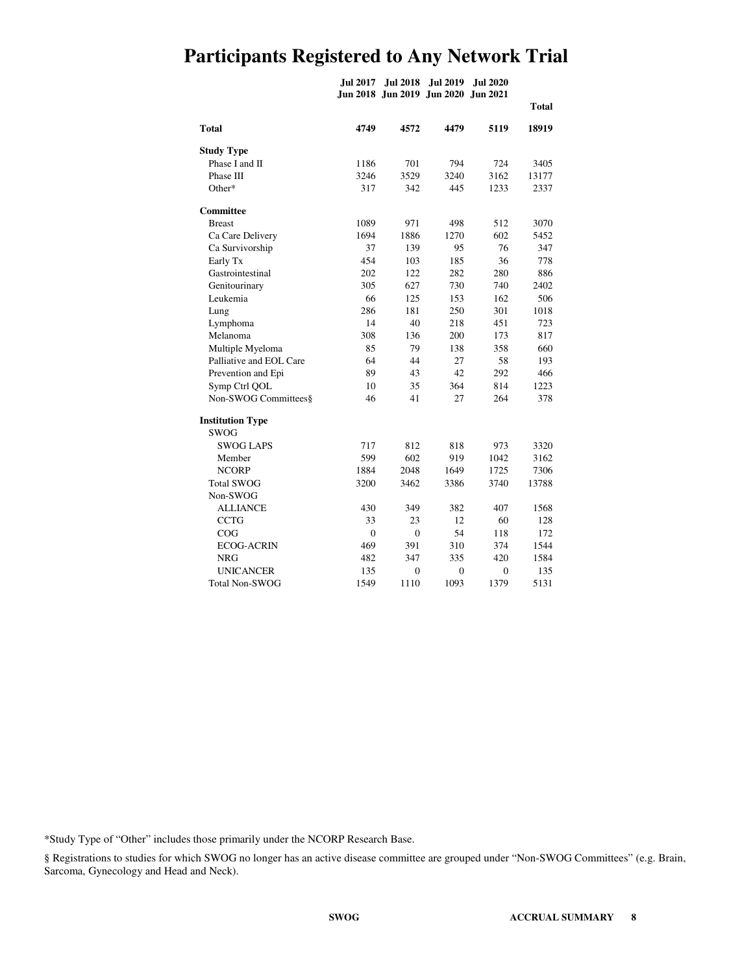# **Participants Registered to Any Network Trial**

**Jul 2017 Jul 2018 Jul 2019 Jul 2020 Jun 2018 Jun 2019 Jun 2020 Jun 2021**

|                         |          |                |                |                | <b>Total</b> |
|-------------------------|----------|----------------|----------------|----------------|--------------|
| <b>Total</b>            | 4749     | 4572           | 4479           | 5119           | 18919        |
| <b>Study Type</b>       |          |                |                |                |              |
| Phase I and II          | 1186     | 701            | 794            | 724            | 3405         |
| Phase III               | 3246     | 3529           | 3240           | 3162           | 13177        |
| Other*                  | 317      | 342            | 445            | 1233           | 2337         |
| <b>Committee</b>        |          |                |                |                |              |
| <b>Breast</b>           | 1089     | 971            | 498            | 512            | 3070         |
| Ca Care Delivery        | 1694     | 1886           | 1270           | 602            | 5452         |
| Ca Survivorship         | 37       | 139            | 95             | 76             | 347          |
| Early Tx                | 454      | 103            | 185            | 36             | 778          |
| Gastrointestinal        | 202      | 122            | 282            | 280            | 886          |
| Genitourinary           | 305      | 627            | 730            | 740            | 2402         |
| Leukemia                | 66       | 125            | 153            | 162            | 506          |
| Lung                    | 286      | 181            | 250            | 301            | 1018         |
| Lymphoma                | 14       | 40             | 218            | 451            | 723          |
| Melanoma                | 308      | 136            | 200            | 173            | 817          |
| Multiple Myeloma        | 85       | 79             | 138            | 358            | 660          |
| Palliative and EOL Care | 64       | 44             | 27             | 58             | 193          |
| Prevention and Epi      | 89       | 43             | 42             | 292            | 466          |
| Symp Ctrl QOL           | 10       | 35             | 364            | 814            | 1223         |
| Non-SWOG Committees§    | 46       | 41             | 27             | 264            | 378          |
| <b>Institution Type</b> |          |                |                |                |              |
| <b>SWOG</b>             |          |                |                |                |              |
| <b>SWOG LAPS</b>        | 717      | 812            | 818            | 973            | 3320         |
| Member                  | 599      | 602            | 919            | 1042           | 3162         |
| <b>NCORP</b>            | 1884     | 2048           | 1649           | 1725           | 7306         |
| <b>Total SWOG</b>       | 3200     | 3462           | 3386           | 3740           | 13788        |
| Non-SWOG                |          |                |                |                |              |
| <b>ALLIANCE</b>         | 430      | 349            | 382            | 407            | 1568         |
| <b>CCTG</b>             | 33       | 23             | 12             | 60             | 128          |
| COG                     | $\theta$ | $\Omega$       | 54             | 118            | 172          |
| <b>ECOG-ACRIN</b>       | 469      | 391            | 310            | 374            | 1544         |
| NRG                     | 482      | 347            | 335            | 420            | 1584         |
| <b>UNICANCER</b>        | 135      | $\overline{0}$ | $\overline{0}$ | $\overline{0}$ | 135          |
| <b>Total Non-SWOG</b>   | 1549     | 1110           | 1093           | 1379           | 5131         |

\*Study Type of "Other" includes those primarily under the NCORP Research Base.

§ Registrations to studies for which SWOG no longer has an active disease committee are grouped under "Non-SWOG Committees" (e.g. Brain, Sarcoma, Gynecology and Head and Neck).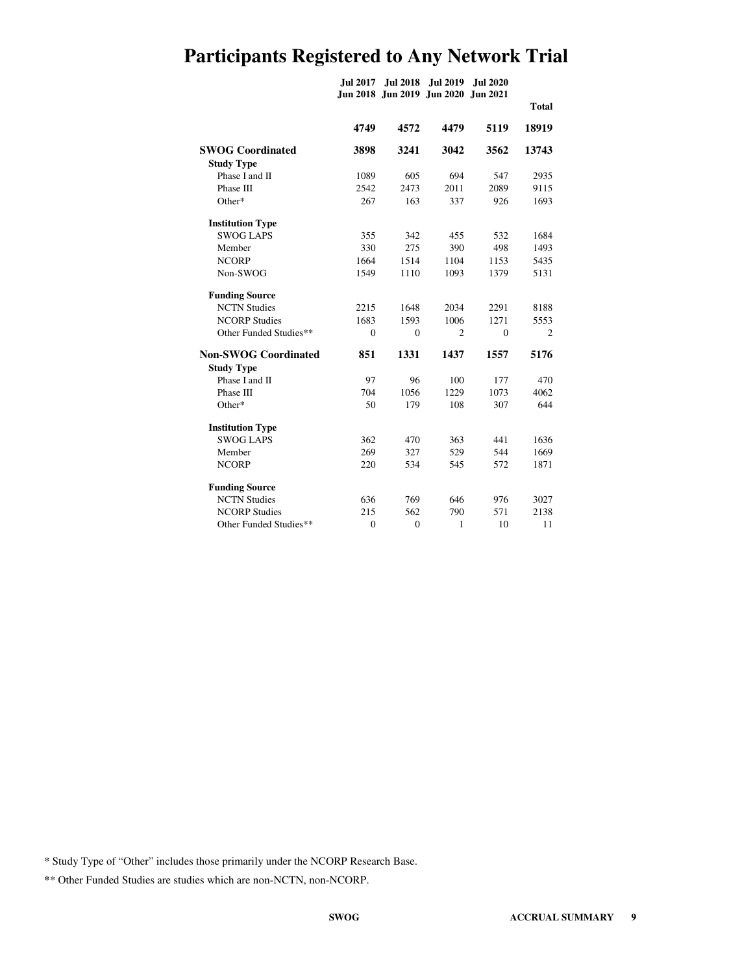# **Participants Registered to Any Network Trial**

|                             | <b>Jul 2017</b>  | <b>Jul 2018</b> | <b>Jul 2019</b><br>Jun 2018 Jun 2019 Jun 2020 Jun 2021 | <b>Jul 2020</b> |                |
|-----------------------------|------------------|-----------------|--------------------------------------------------------|-----------------|----------------|
|                             |                  |                 |                                                        |                 | <b>Total</b>   |
|                             | 4749             | 4572            | 4479                                                   | 5119            | 18919          |
| <b>SWOG Coordinated</b>     | 3898             | 3241            | 3042                                                   | 3562            | 13743          |
| <b>Study Type</b>           |                  |                 |                                                        |                 |                |
| Phase I and II              | 1089             | 605             | 694                                                    | 547             | 2935           |
| Phase III                   | 2542             | 2473            | 2011                                                   | 2089            | 9115           |
| Other*                      | 267              | 163             | 337                                                    | 926             | 1693           |
| <b>Institution Type</b>     |                  |                 |                                                        |                 |                |
| <b>SWOG LAPS</b>            | 355              | 342             | 455                                                    | 532             | 1684           |
| Member                      | 330              | 275             | 390                                                    | 498             | 1493           |
| <b>NCORP</b>                | 1664             | 1514            | 1104                                                   | 1153            | 5435           |
| Non-SWOG                    | 1549             | 1110            | 1093                                                   | 1379            | 5131           |
| <b>Funding Source</b>       |                  |                 |                                                        |                 |                |
| <b>NCTN Studies</b>         | 2215             | 1648            | 2034                                                   | 2291            | 8188           |
| <b>NCORP Studies</b>        | 1683             | 1593            | 1006                                                   | 1271            | 5553           |
| Other Funded Studies**      | $\mathbf{0}$     | $\mathbf{0}$    | $\overline{c}$                                         | $\mathbf{0}$    | $\overline{c}$ |
| <b>Non-SWOG Coordinated</b> | 851              | 1331            | 1437                                                   | 1557            | 5176           |
| <b>Study Type</b>           |                  |                 |                                                        |                 |                |
| Phase I and II              | 97               | 96              | 100                                                    | 177             | 470            |
| Phase III                   | 704              | 1056            | 1229                                                   | 1073            | 4062           |
| Other*                      | 50               | 179             | 108                                                    | 307             | 644            |
| <b>Institution Type</b>     |                  |                 |                                                        |                 |                |
| <b>SWOG LAPS</b>            | 362              | 470             | 363                                                    | 441             | 1636           |
| Member                      | 269              | 327             | 529                                                    | 544             | 1669           |
| <b>NCORP</b>                | 220              | 534             | 545                                                    | 572             | 1871           |
| <b>Funding Source</b>       |                  |                 |                                                        |                 |                |
| <b>NCTN Studies</b>         | 636              | 769             | 646                                                    | 976             | 3027           |
| <b>NCORP Studies</b>        | 215              | 562             | 790                                                    | 571             | 2138           |
| Other Funded Studies**      | $\boldsymbol{0}$ | $\mathbf{0}$    | $\mathbf{1}$                                           | 10              | 11             |

\* Study Type of "Other" includes those primarily under the NCORP Research Base.

**\***\* Other Funded Studies are studies which are non-NCTN, non-NCORP.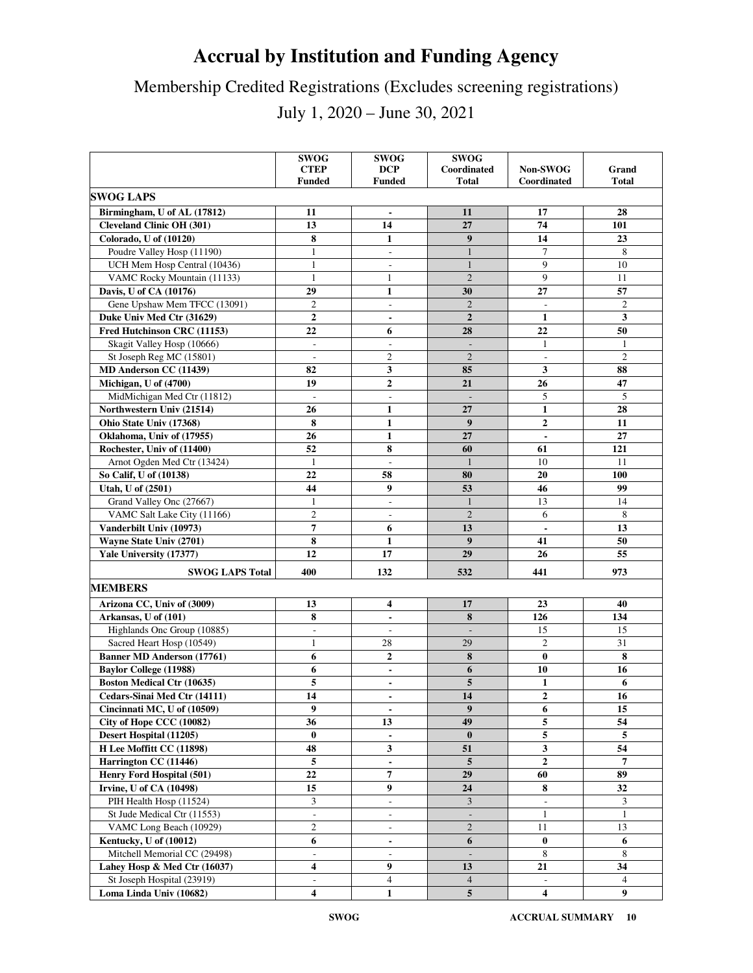# **Accrual by Institution and Funding Agency**

# Membership Credited Registrations (Excludes screening registrations)

July 1, 2020 – June 30, 2021

|                                   | <b>SWOG</b><br><b>CTEP</b><br><b>Funded</b> | <b>SWOG</b><br><b>DCP</b><br><b>Funded</b> | <b>SWOG</b><br>Coordinated<br>Total | Non-SWOG<br>Coordinated  | Grand<br><b>Total</b> |
|-----------------------------------|---------------------------------------------|--------------------------------------------|-------------------------------------|--------------------------|-----------------------|
| <b>SWOG LAPS</b>                  |                                             |                                            |                                     |                          |                       |
|                                   |                                             |                                            |                                     |                          |                       |
| Birmingham, U of AL (17812)       | 11                                          | $\blacksquare$                             | 11                                  | 17                       | 28                    |
| <b>Cleveland Clinic OH (301)</b>  | 13                                          | 14                                         | 27                                  | 74                       | 101                   |
| Colorado, U of (10120)            | 8                                           | $\mathbf{1}$                               | $\boldsymbol{9}$                    | 14                       | 23                    |
| Poudre Valley Hosp (11190)        | 1                                           | $\overline{\phantom{a}}$                   | $\mathbf{1}$                        | $\tau$                   | 8                     |
| UCH Mem Hosp Central (10436)      | $\mathbf{1}$                                | $\overline{\phantom{a}}$                   | $\mathbf{1}$                        | 9                        | 10                    |
| VAMC Rocky Mountain (11133)       | $\mathbf{1}$                                | 1                                          | $\overline{2}$                      | $\mathbf{Q}$             | 11                    |
| Davis, U of CA (10176)            | 29                                          | $\mathbf{1}$                               | 30                                  | 27                       | 57                    |
| Gene Upshaw Mem TFCC (13091)      | $\overline{c}$                              | $\overline{\phantom{a}}$                   | $\overline{2}$                      | $\overline{\phantom{a}}$ | $\mathfrak{2}$        |
| Duke Univ Med Ctr (31629)         | $\boldsymbol{2}$                            | $\blacksquare$                             | $\overline{2}$                      | $\mathbf{1}$             | 3                     |
| Fred Hutchinson CRC (11153)       | 22                                          | 6                                          | 28                                  | 22                       | 50                    |
| Skagit Valley Hosp (10666)        | $\overline{\phantom{a}}$                    | $\overline{\phantom{a}}$                   |                                     | $\mathbf{1}$             | 1                     |
| St Joseph Reg MC (15801)          | $\overline{\phantom{a}}$                    | $\mathfrak{2}$                             | $\overline{2}$                      | $\overline{\phantom{a}}$ | $\overline{c}$        |
| MD Anderson CC (11439)            | 82                                          | 3                                          | 85                                  | 3                        | 88                    |
| Michigan, U of (4700)             | 19                                          | $\overline{2}$                             | 21                                  | 26                       | 47                    |
| MidMichigan Med Ctr (11812)       | $\sim$                                      | $\overline{\phantom{a}}$                   |                                     | 5                        | 5                     |
| Northwestern Univ (21514)         | 26                                          | $\mathbf{1}$                               | 27                                  | $\mathbf{1}$             | 28                    |
| Ohio State Univ (17368)           | 8                                           | $\mathbf{1}$                               | 9                                   | $\mathbf{2}$             | 11                    |
| Oklahoma, Univ of (17955)         | 26                                          | $\mathbf{1}$                               | 27                                  | $\overline{\phantom{a}}$ | 27                    |
| Rochester, Univ of (11400)        | 52                                          | 8                                          | 60                                  | 61                       | 121                   |
| Arnot Ogden Med Ctr (13424)       | 1                                           | $\frac{1}{2}$                              | $\mathbf{1}$                        | 10                       | 11                    |
| So Calif, U of (10138)            | 22                                          | 58                                         | 80                                  | 20                       | 100                   |
| Utah, U of (2501)                 | 44                                          | 9                                          | 53                                  | 46                       | 99                    |
| Grand Valley Onc (27667)          | 1                                           | $\overline{\phantom{a}}$                   | $\mathbf{1}$                        | 13                       | 14                    |
| VAMC Salt Lake City (11166)       | $\overline{c}$                              | $\overline{\phantom{a}}$                   | $\overline{2}$                      | 6                        | 8                     |
| Vanderbilt Univ (10973)           | $\overline{7}$                              | 6                                          | 13                                  | $\blacksquare$           | 13                    |
| Wayne State Univ (2701)           | 8                                           | $\mathbf{1}$                               | $\boldsymbol{9}$                    | 41                       | 50                    |
| Yale University (17377)           | 12                                          | 17                                         | 29                                  | 26                       | 55                    |
| <b>SWOG LAPS Total</b>            | 400                                         | 132                                        | 532                                 | 441                      | 973                   |
| <b>MEMBERS</b>                    |                                             |                                            |                                     |                          |                       |
| Arizona CC, Univ of (3009)        | 13                                          | 4                                          | 17                                  | 23                       | 40                    |
| Arkansas, U of (101)              | 8                                           |                                            | 8                                   | 126                      | 134                   |
| Highlands Onc Group (10885)       | $\overline{\phantom{a}}$                    | $\overline{\phantom{a}}$                   | $\overline{\phantom{a}}$            | 15                       | 15                    |
| Sacred Heart Hosp (10549)         | 1                                           | 28                                         | 29                                  | $\overline{c}$           | 31                    |
| <b>Banner MD Anderson (17761)</b> | 6                                           | $\mathbf{2}$                               | 8                                   | $\bf{0}$                 | 8                     |
| <b>Baylor College (11988)</b>     | 6                                           | $\blacksquare$                             | 6                                   | 10                       | 16                    |
| <b>Boston Medical Ctr (10635)</b> | 5                                           | $\blacksquare$                             | 5                                   | $\mathbf{1}$             | 6                     |
| Cedars-Sinai Med Ctr (14111)      | 14                                          | $\blacksquare$                             | 14                                  | $\overline{2}$           | 16                    |
| Cincinnati MC, U of (10509)       | 9                                           | $\overline{\phantom{a}}$                   | 9                                   | 6                        | 15                    |
| City of Hope CCC (10082)          | 36                                          | 13                                         | 49                                  | 5                        | 54                    |
| Desert Hospital (11205)           | $\bf{0}$                                    | $\blacksquare$                             | $\bf{0}$                            | 5                        | 5                     |
| H Lee Moffitt CC (11898)          | 48                                          | 3                                          | 51                                  | 3                        | 54                    |
| Harrington CC (11446)             | 5                                           | $\overline{\phantom{a}}$                   | 5                                   | $\mathbf{2}$             | 7                     |
| Henry Ford Hospital (501)         | $\bf{22}$                                   | 7                                          | 29                                  | 60                       | 89                    |
| <b>Irvine, U of CA (10498)</b>    | 15                                          | $\boldsymbol{9}$                           | 24                                  | 8                        | 32                    |
| PIH Health Hosp (11524)           | 3                                           | $\overline{\phantom{a}}$                   | 3                                   |                          | 3                     |
| St Jude Medical Ctr (11553)       | $\bar{\phantom{a}}$                         | $\overline{\phantom{a}}$                   | $\overline{\phantom{a}}$            | $\mathbf{1}$             | 1                     |
| VAMC Long Beach (10929)           | $\overline{c}$                              | $\blacksquare$                             | $\mathbf{2}$                        | 11                       | 13                    |
| Kentucky, U of (10012)            | 6                                           | $\blacksquare$                             | 6                                   | $\bf{0}$                 | 6                     |
| Mitchell Memorial CC (29498)      |                                             | $\overline{\phantom{a}}$                   |                                     | 8                        | 8                     |
| Lahey Hosp & Med Ctr (16037)      | 4                                           | 9                                          | 13                                  | 21                       | 34                    |
| St Joseph Hospital (23919)        | $\sim$                                      | $\overline{4}$                             | $\overline{4}$                      | $\overline{\phantom{a}}$ | 4                     |
| Loma Linda Univ (10682)           | $\overline{\mathbf{4}}$                     | $\mathbf{1}$                               | ${\bf 5}$                           | $\overline{\mathbf{4}}$  | 9                     |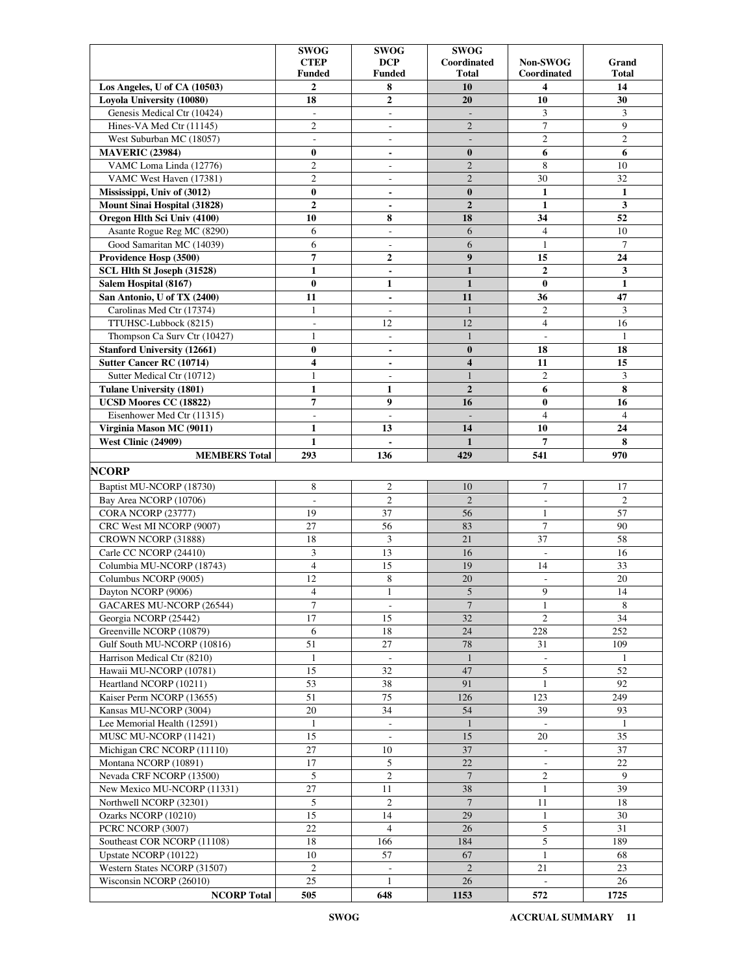|                                    | <b>SWOG</b>    | <b>SWOG</b>              | <b>SWOG</b>              |                          |                |
|------------------------------------|----------------|--------------------------|--------------------------|--------------------------|----------------|
|                                    | <b>CTEP</b>    | <b>DCP</b>               | Coordinated              | Non-SWOG                 | Grand          |
|                                    | <b>Funded</b>  | <b>Funded</b>            | Total                    | Coordinated              | Total          |
| Los Angeles, U of CA (10503)       | $\mathbf{2}$   | 8                        | 10                       | 4                        | 14             |
| Loyola University (10080)          | 18             | $\overline{2}$           | 20                       | 10                       | 30             |
| Genesis Medical Ctr (10424)        | $\overline{a}$ | $\overline{\phantom{a}}$ | $\overline{\phantom{a}}$ | 3                        | 3              |
| Hines-VA Med Ctr (11145)           | $\mathfrak{2}$ | $\overline{\phantom{a}}$ | $\overline{2}$           | $\tau$                   | 9              |
| West Suburban MC (18057)           | ÷,             | $\overline{\phantom{a}}$ | $\overline{\phantom{a}}$ | $\mathfrak{2}$           | $\overline{c}$ |
| <b>MAVERIC (23984)</b>             | $\bf{0}$       | $\overline{\phantom{0}}$ | $\bf{0}$                 | 6                        | 6              |
| VAMC Loma Linda (12776)            | $\overline{c}$ | $\overline{\phantom{a}}$ | $\overline{2}$           | 8                        | 10             |
| VAMC West Haven (17381)            | $\overline{2}$ | $\overline{\phantom{a}}$ | $\overline{2}$           | 30                       | 32             |
| Mississippi, Univ of (3012)        | $\bf{0}$       | $\blacksquare$           | $\bf{0}$                 | $\mathbf{1}$             | $\mathbf{1}$   |
| Mount Sinai Hospital (31828)       | $\overline{2}$ | $\blacksquare$           | $\overline{2}$           | $\mathbf{1}$             | 3              |
| Oregon Hlth Sci Univ (4100)        | 10             | 8                        | 18                       | 34                       | 52             |
| Asante Rogue Reg MC (8290)         | 6              | $\overline{\phantom{a}}$ | 6                        | $\overline{4}$           | 10             |
| Good Samaritan MC (14039)          | 6              | $\overline{a}$           | 6                        | 1                        | $\tau$         |
| Providence Hosp (3500)             | $\overline{7}$ | 2                        | 9                        | 15                       | 24             |
| SCL Hlth St Joseph (31528)         | $\mathbf{1}$   | $\overline{\phantom{a}}$ | $\mathbf{1}$             | $\overline{2}$           | 3              |
| Salem Hospital (8167)              | $\bf{0}$       | $\mathbf{1}$             | $\mathbf{1}$             | $\bf{0}$                 | $\mathbf{1}$   |
| San Antonio, U of TX (2400)        | 11             | $\blacksquare$           | 11                       | 36                       | 47             |
| Carolinas Med Ctr (17374)          | $\mathbf{1}$   | $\overline{\phantom{a}}$ | $\mathbf{1}$             | $\overline{c}$           | 3              |
| TTUHSC-Lubbock (8215)              | $\overline{a}$ | 12                       | 12                       | $\overline{4}$           | 16             |
| Thompson Ca Surv Ctr (10427)       | 1              | $\overline{\phantom{a}}$ | $\mathbf{1}$             | $\sim$                   | $\mathbf{1}$   |
| <b>Stanford University (12661)</b> | $\bf{0}$       |                          | $\bf{0}$                 | 18                       | 18             |
|                                    |                | $\blacksquare$           |                          |                          |                |
| Sutter Cancer RC (10714)           | 4              | $\blacksquare$           | 4                        | 11                       | 15             |
| Sutter Medical Ctr (10712)         | 1              | $\overline{\phantom{a}}$ | $\mathbf{1}$             | $\mathfrak{2}$           | 3              |
| <b>Tulane University (1801)</b>    | $\mathbf{1}$   | $\mathbf{1}$             | $\overline{2}$           | 6                        | 8              |
| UCSD Moores CC (18822)             | $\overline{7}$ | 9                        | 16                       | $\bf{0}$                 | 16             |
| Eisenhower Med Ctr (11315)         | ÷,             | $\overline{\phantom{a}}$ | $\overline{\phantom{a}}$ | $\overline{4}$           | $\overline{4}$ |
| Virginia Mason MC (9011)           | 1              | 13                       | 14                       | 10                       | 24             |
| West Clinic (24909)                | $\mathbf{1}$   | $\blacksquare$           | $\mathbf{1}$             | 7                        | 8              |
| <b>MEMBERS Total</b>               | 293            | 136                      | 429                      | 541                      | 970            |
| <b>NCORP</b>                       |                |                          |                          |                          |                |
| Baptist MU-NCORP (18730)           | 8              | $\mathfrak{2}$           | 10                       | 7                        | 17             |
| Bay Area NCORP (10706)             | ÷,             | $\overline{c}$           | $\overline{2}$           | $\overline{\phantom{a}}$ | $\overline{2}$ |
| CORA NCORP (23777)                 | 19             | 37                       | 56                       | $\mathbf{1}$             | 57             |
| CRC West MI NCORP (9007)           | 27             | 56                       | 83                       | $\overline{7}$           | 90             |
| CROWN NCORP (31888)                | 18             | 3                        | 21                       | 37                       | 58             |
| Carle CC NCORP (24410)             | 3              | 13                       | 16                       | $\overline{\phantom{a}}$ | 16             |
| Columbia MU-NCORP (18743)          | $\overline{4}$ | 15                       | 19                       | 14                       | 33             |
| Columbus NCORP (9005)              | 12             | 8                        | 20                       | $\overline{\phantom{a}}$ | 20             |
| Dayton NCORP (9006)                | $\overline{4}$ | 1                        | $\sqrt{5}$               | 9                        | 14             |
| GACARES MU-NCORP (26544)           | $\tau$         | $\overline{\phantom{a}}$ | $7\phantom{.0}$          | $\mathbf{1}$             | 8              |
| Georgia NCORP (25442)              | 17             | 15                       | 32                       | $\mathfrak{2}$           | 34             |
| Greenville NCORP (10879)           | 6              | 18                       | 24                       | 228                      | 252            |
| Gulf South MU-NCORP (10816)        | 51             | 27                       | 78                       | 31                       | 109            |
| Harrison Medical Ctr (8210)        |                |                          | $\mathbf{1}$             |                          | 1              |
|                                    | $\mathbf{1}$   | $\overline{\phantom{a}}$ |                          | $\overline{\phantom{a}}$ |                |
| Hawaii MU-NCORP (10781)            | 15             | 32                       | 47                       | 5                        | 52             |
| Heartland NCORP (10211)            | 53             | 38                       | 91                       | $\mathbf{1}$             | 92             |
| Kaiser Perm NCORP (13655)          | 51             | 75                       | 126                      | 123                      | 249            |
| Kansas MU-NCORP (3004)             | 20             | 34                       | 54                       | 39                       | 93             |
| Lee Memorial Health (12591)        | $\mathbf{1}$   | $\Box$                   | $\mathbf{1}$             |                          | -1             |
| MUSC MU-NCORP (11421)              | 15             | $\overline{\phantom{a}}$ | 15                       | 20                       | 35             |
| Michigan CRC NCORP (11110)         | 27             | 10                       | 37                       |                          | 37             |
| Montana NCORP (10891)              | 17             | 5                        | 22                       | $\overline{\phantom{a}}$ | 22             |
| Nevada CRF NCORP (13500)           | 5              | $\mathfrak{2}$           | $\overline{7}$           | 2                        | 9              |
| New Mexico MU-NCORP (11331)        | 27             | 11                       | 38                       | $\mathbf{1}$             | 39             |
| Northwell NCORP (32301)            | 5              | $\overline{c}$           | $\overline{7}$           | 11                       | 18             |
| Ozarks NCORP (10210)               | 15             | 14                       | 29                       | $\mathbf{1}$             | 30             |
| PCRC NCORP (3007)                  | 22             | $\overline{4}$           | 26                       | 5                        | 31             |
| Southeast COR NCORP (11108)        | 18             | 166                      | 184                      | 5                        | 189            |
| Upstate NCORP (10122)              | 10             | 57                       | 67                       | $\mathbf{1}$             | 68             |
| Western States NCORP (31507)       | $\overline{2}$ | $\overline{\phantom{a}}$ | $\overline{2}$           | 21                       | 23             |
| Wisconsin NCORP (26010)            | 25             | $\mathbf{1}$             | 26                       | $\mathcal{L}$            | 26             |
| <b>NCORP Total</b>                 | 505            | 648                      | 1153                     | 572                      | 1725           |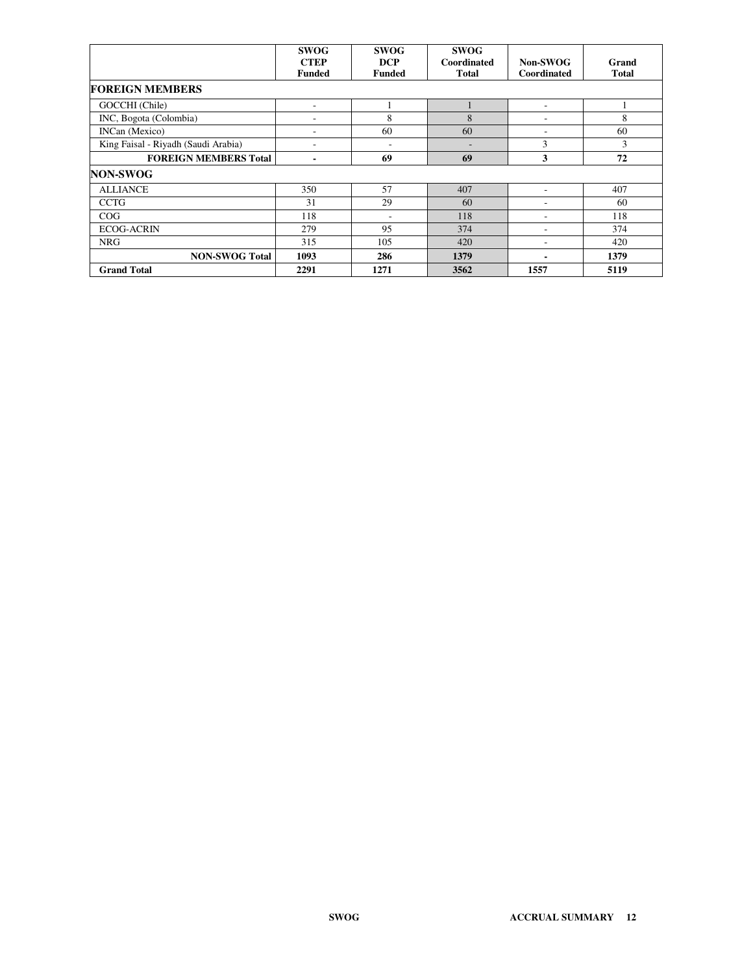|                                     | <b>SWOG</b><br><b>CTEP</b><br><b>Funded</b> | <b>SWOG</b><br><b>DCP</b><br><b>Funded</b> | <b>SWOG</b><br>Coordinated<br><b>Total</b> | Non-SWOG<br>Coordinated | Grand<br><b>Total</b> |
|-------------------------------------|---------------------------------------------|--------------------------------------------|--------------------------------------------|-------------------------|-----------------------|
| <b>FOREIGN MEMBERS</b>              |                                             |                                            |                                            |                         |                       |
| GOCCHI (Chile)                      |                                             |                                            |                                            | ۰                       |                       |
| INC, Bogota (Colombia)              | ۰                                           | 8                                          | 8                                          | ۰                       | 8                     |
| INCan (Mexico)                      | ۰                                           | 60                                         | 60                                         | ٠                       | 60                    |
| King Faisal - Riyadh (Saudi Arabia) | ٠                                           | ٠                                          |                                            | 3                       | 3                     |
| <b>FOREIGN MEMBERS Total</b>        |                                             | 69                                         | 69                                         | 3                       | 72                    |
| <b>NON-SWOG</b>                     |                                             |                                            |                                            |                         |                       |
| <b>ALLIANCE</b>                     | 350                                         | 57                                         | 407                                        | ۰                       | 407                   |
| <b>CCTG</b>                         | 31                                          | 29                                         | 60                                         | ۰                       | 60                    |
| COG                                 | 118                                         |                                            | 118                                        |                         | 118                   |
| <b>ECOG-ACRIN</b>                   | 279                                         | 95                                         | 374                                        | ٠                       | 374                   |
| <b>NRG</b>                          | 315                                         | 105                                        | 420                                        | ٠                       | 420                   |
| <b>NON-SWOG Total</b>               | 1093                                        | 286                                        | 1379                                       | ۰                       | 1379                  |
| <b>Grand Total</b>                  | 2291                                        | 1271                                       | 3562                                       | 1557                    | 5119                  |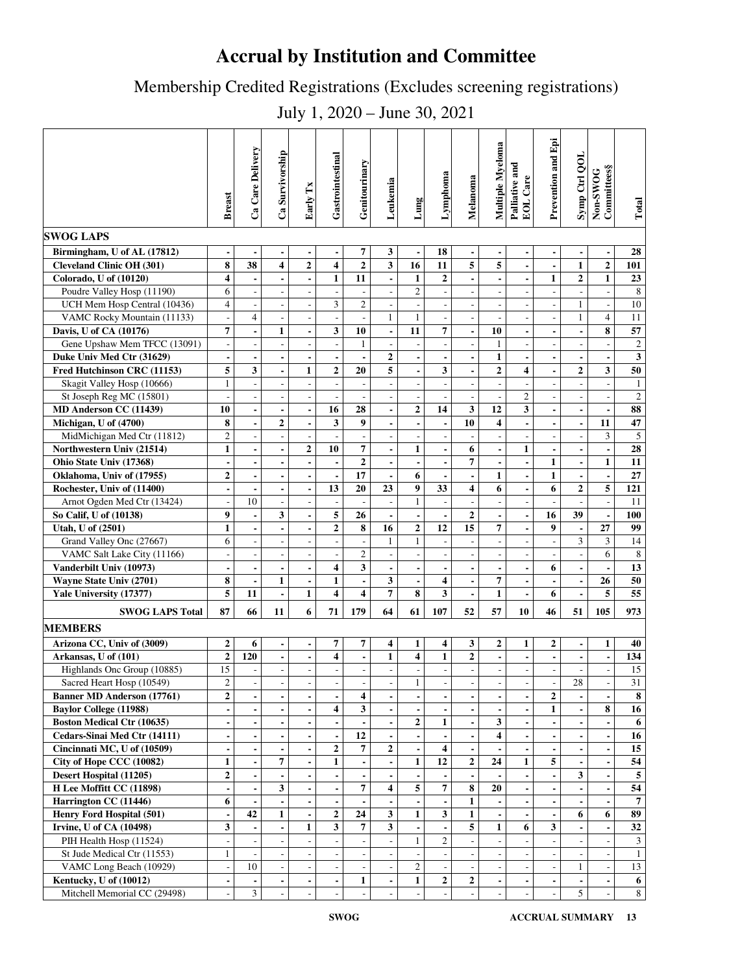# **Accrual by Institution and Committee**

Membership Credited Registrations (Excludes screening registrations)

July 1, 2020 – June 30, 2021

| <b>SWOG LAPS</b>                  | <b>Breast</b>                | Ca Care Delivery         | Ca Survivorship          | Early Tx                     | Gastrointestinal         | Genitourinary            | Leukemia                 | Lung                     | Lymphoma                 | Melanoma                 | Multiple Myeloma         | Palliative and<br>EOL Care | Prevention and Epi       | Symp Ctrl QOL                | Non-SWOG<br>Committees§  | Total          |
|-----------------------------------|------------------------------|--------------------------|--------------------------|------------------------------|--------------------------|--------------------------|--------------------------|--------------------------|--------------------------|--------------------------|--------------------------|----------------------------|--------------------------|------------------------------|--------------------------|----------------|
|                                   |                              |                          |                          |                              |                          |                          |                          |                          |                          |                          |                          |                            |                          |                              |                          |                |
| Birmingham, U of AL (17812)       | $\blacksquare$               | $\overline{\phantom{a}}$ | $\blacksquare$           | $\overline{\phantom{0}}$     | $\blacksquare$           | 7                        | 3                        | $\blacksquare$           | 18                       | $\blacksquare$           | $\blacksquare$           | $\overline{\phantom{a}}$   | $\overline{\phantom{a}}$ | $\blacksquare$               |                          | 28             |
| <b>Cleveland Clinic OH (301)</b>  | 8                            | 38                       | 4                        | $\overline{\mathbf{c}}$      | $\overline{\mathbf{4}}$  | $\overline{2}$           | 3                        | 16                       | 11                       | $\overline{5}$           | 5                        | $\overline{\phantom{a}}$   | $\overline{\phantom{a}}$ | $\mathbf{1}$                 | $\overline{2}$           | 101            |
| Colorado, U of (10120)            | 4                            | $\blacksquare$           |                          | $\overline{a}$               | $\mathbf{1}$             | 11                       | $\overline{a}$           | $\mathbf{1}$             | $\overline{2}$           | $\overline{a}$           | $\overline{a}$           | $\blacksquare$             | $\mathbf{1}$             | $\mathbf{2}$                 | $\mathbf{1}$             | 23             |
| Poudre Valley Hosp (11190)        | 6                            | $\overline{\phantom{a}}$ | $\overline{a}$           | $\blacksquare$               | $\overline{\phantom{a}}$ |                          | $\overline{\phantom{a}}$ | $\sqrt{2}$               | $\overline{\phantom{a}}$ | $\blacksquare$           | $\overline{\phantom{a}}$ | $\overline{\phantom{a}}$   | $\overline{a}$           | $\overline{\phantom{a}}$     | $\overline{\phantom{a}}$ | 8              |
| UCH Mem Hosp Central (10436)      | $\overline{\mathcal{L}}$     | $\overline{\phantom{a}}$ | $\overline{a}$           | $\overline{a}$               | 3                        | $\mathfrak{2}$           | $\overline{\phantom{a}}$ | $\blacksquare$           | ÷,                       | $\overline{\phantom{a}}$ | $\overline{\phantom{a}}$ | $\overline{a}$             | Ĭ.                       | $\mathbf{1}$                 |                          | 10             |
| VAMC Rocky Mountain (11133)       | $\overline{\phantom{a}}$     | $\overline{4}$           | $\overline{\phantom{a}}$ | $\overline{a}$               | $\overline{a}$           |                          | $\mathbf{1}$             | $\mathbf{1}$             |                          | $\overline{\phantom{a}}$ | $\overline{\phantom{a}}$ | $\overline{\phantom{a}}$   | ٠                        | $\mathbf{1}$                 | $\overline{4}$           | 11             |
| Davis, U of CA (10176)            | 7                            | $\blacksquare$           | $\mathbf{1}$             | $\blacksquare$               | 3                        | 10                       | $\blacksquare$           | 11                       | 7                        | $\blacksquare$           | 10                       | $\blacksquare$             | $\overline{\phantom{a}}$ | $\blacksquare$               | 8                        | 57             |
| Gene Upshaw Mem TFCC (13091)      | $\overline{\phantom{a}}$     | $\overline{\phantom{a}}$ | $\overline{a}$           | $\overline{a}$               | $\overline{\phantom{a}}$ | $\mathbf{1}$             | $\frac{1}{2}$            | $\overline{\phantom{a}}$ | $\overline{\phantom{a}}$ |                          | $\mathbf{1}$             | $\overline{\phantom{a}}$   | Ĭ.                       | $\overline{a}$               | $\overline{\phantom{a}}$ | $\sqrt{2}$     |
| Duke Univ Med Ctr (31629)         | $\qquad \qquad \blacksquare$ | $\overline{\phantom{a}}$ | $\blacksquare$           | $\overline{\phantom{a}}$     | $\blacksquare$           | $\blacksquare$           | $\boldsymbol{2}$         | $\blacksquare$           | $\blacksquare$           | $\blacksquare$           | $\mathbf{1}$             | $\blacksquare$             | $\overline{\phantom{a}}$ | $\overline{\phantom{a}}$     | $\overline{\phantom{a}}$ | $\mathbf{3}$   |
| Fred Hutchinson CRC (11153)       | 5                            | 3                        | $\blacksquare$           | $\mathbf{1}$                 | $\mathbf{2}$             | 20                       | 5                        | $\overline{a}$           | 3                        |                          | $\mathbf{2}$             | $\overline{\mathbf{4}}$    | ÷                        | $\mathbf{2}$                 | 3                        | 50             |
| Skagit Valley Hosp (10666)        | $\mathbf{1}$                 | $\overline{\phantom{a}}$ |                          | $\frac{1}{2}$                | $\overline{\phantom{a}}$ |                          | $\overline{a}$           | $\frac{1}{2}$            |                          |                          | $\overline{\phantom{a}}$ |                            |                          | $\overline{a}$               |                          | $\mathbf{1}$   |
| St Joseph Reg MC (15801)          |                              | $\blacksquare$           | $\overline{a}$           | $\overline{\phantom{a}}$     | $\overline{\phantom{a}}$ |                          | $\overline{\phantom{a}}$ | $\overline{\phantom{a}}$ | $\sim$                   | $\overline{\phantom{a}}$ | $\overline{\phantom{a}}$ | $\overline{c}$             | ÷,                       | $\overline{a}$               |                          | $\overline{2}$ |
| MD Anderson CC (11439)            | 10                           | $\overline{\phantom{a}}$ | $\blacksquare$           | $\blacksquare$               | 16                       | 28                       | $\blacksquare$           | $\overline{\mathbf{c}}$  | 14                       | 3                        | 12                       | 3                          | $\blacksquare$           | $\blacksquare$               | $\overline{\phantom{a}}$ | 88             |
| Michigan, U of (4700)             | 8                            | $\overline{\phantom{a}}$ | $\mathbf{2}$             | $\qquad \qquad \blacksquare$ | 3                        | 9                        | $\blacksquare$           | $\overline{\phantom{a}}$ | $\blacksquare$           | 10                       | 4                        | $\blacksquare$             | $\overline{\phantom{a}}$ | $\qquad \qquad \blacksquare$ | 11                       | 47             |
| MidMichigan Med Ctr (11812)       | $\overline{c}$               | $\overline{\phantom{a}}$ | $\overline{\phantom{a}}$ | $\overline{a}$               | $\sim$                   |                          | $\overline{a}$           | $\overline{\phantom{a}}$ |                          | $\overline{\phantom{a}}$ | $\overline{\phantom{a}}$ |                            |                          | $\overline{a}$               | 3                        | $\sqrt{5}$     |
| Northwestern Univ (21514)         | $\mathbf{1}$                 |                          |                          | $\overline{2}$               | 10                       | 7                        |                          | $\mathbf{1}$             |                          | 6                        | $\blacksquare$           | $\mathbf{1}$               |                          | $\overline{\phantom{a}}$     |                          | 28             |
| Ohio State Univ (17368)           | $\overline{\phantom{a}}$     | $\overline{\phantom{a}}$ | $\overline{\phantom{a}}$ | $\blacksquare$               | $\blacksquare$           | $\overline{2}$           | $\blacksquare$           | $\blacksquare$           | $\blacksquare$           | $\overline{\mathbf{7}}$  | $\blacksquare$           | $\blacksquare$             | $\mathbf{1}$             | $\blacksquare$               | $\mathbf{1}$             | 11             |
| Oklahoma, Univ of (17955)         | 2                            | $\overline{\phantom{a}}$ | $\overline{\phantom{a}}$ | $\overline{\phantom{a}}$     | $\overline{\phantom{a}}$ | 17                       | $\overline{\phantom{a}}$ | 6                        | $\blacksquare$           | $\overline{\phantom{a}}$ | $\mathbf{1}$             | $\blacksquare$             | $\mathbf{1}$             | $\overline{\phantom{a}}$     | $\blacksquare$           | 27             |
| Rochester, Univ of (11400)        | $\overline{\phantom{a}}$     |                          | $\overline{\phantom{a}}$ | $\overline{a}$               | 13                       | 20                       | 23                       | 9                        | 33                       | $\overline{\mathbf{4}}$  | 6                        | $\overline{\phantom{a}}$   | 6                        | $\mathbf 2$                  | 5                        | 121            |
| Arnot Ogden Med Ctr (13424)       | $\overline{a}$               | 10                       |                          | $\overline{a}$               | $\overline{\phantom{a}}$ |                          |                          | $\mathbf{1}$             |                          | $\overline{\phantom{a}}$ | $\overline{\phantom{a}}$ |                            |                          |                              |                          | 11             |
| So Calif, U of (10138)            | 9                            | $\overline{\phantom{a}}$ | 3                        | $\blacksquare$               | 5                        | 26                       | $\blacksquare$           | $\blacksquare$           | $\blacksquare$           | $\overline{2}$           | $\blacksquare$           | $\blacksquare$             | 16                       | 39                           |                          | 100            |
| Utah, U of (2501)                 | $\mathbf{1}$                 | $\overline{\phantom{a}}$ | $\blacksquare$           | $\blacksquare$               | $\mathbf 2$              | 8                        | 16                       | $\overline{2}$           | 12                       | 15                       | $\overline{7}$           | $\blacksquare$             | 9                        | $\blacksquare$               | 27                       | 99             |
| Grand Valley Onc (27667)          | 6                            | $\overline{\phantom{a}}$ | $\overline{\phantom{a}}$ | $\qquad \qquad \blacksquare$ | $\overline{\phantom{a}}$ |                          | 1                        | $\mathbf{1}$             | $\overline{\phantom{a}}$ | $\overline{a}$           | $\overline{\phantom{a}}$ | $\overline{\phantom{a}}$   | $\overline{\phantom{a}}$ | 3                            | 3                        | 14             |
| VAMC Salt Lake City (11166)       | ÷,                           | $\overline{\phantom{a}}$ | $\overline{\phantom{a}}$ | $\overline{a}$               | $\overline{\phantom{a}}$ | $\mathfrak{2}$           | $\overline{\phantom{a}}$ | $\overline{\phantom{a}}$ | $\overline{a}$           | $\overline{\phantom{a}}$ | $\overline{\phantom{a}}$ | $\overline{\phantom{a}}$   | $\overline{\phantom{a}}$ | $\overline{\phantom{a}}$     | 6                        | $\,8\,$        |
| Vanderbilt Univ (10973)           | $\overline{\phantom{a}}$     | $\overline{\phantom{a}}$ | $\blacksquare$           | $\blacksquare$               | $\overline{\mathbf{4}}$  | 3                        | $\blacksquare$           | $\blacksquare$           | $\overline{\phantom{a}}$ | $\overline{\phantom{a}}$ | $\blacksquare$           | $\blacksquare$             | 6                        | $\blacksquare$               |                          | 13             |
| Wayne State Univ (2701)           | 8                            |                          | $\mathbf{1}$             | $\overline{a}$               | $\mathbf{1}$             |                          | $\overline{\mathbf{3}}$  | $\overline{\phantom{a}}$ | 4                        |                          | 7                        |                            |                          | ÷,                           | 26                       | 50             |
| Yale University (17377)           | 5                            | 11                       | $\blacksquare$           | $\mathbf{1}$                 | $\overline{\mathbf{4}}$  | 4                        | 7                        | 8                        | 3                        | $\blacksquare$           | $\mathbf{1}$             | $\blacksquare$             | 6                        | $\blacksquare$               | 5                        | 55             |
| <b>SWOG LAPS Total</b>            | 87                           | 66                       | 11                       | 6                            | 71                       | 179                      | 64                       | 61                       | 107                      | 52                       | 57                       | 10                         | 46                       | 51                           | 105                      | 973            |
|                                   |                              |                          |                          |                              |                          |                          |                          |                          |                          |                          |                          |                            |                          |                              |                          |                |
| <b>MEMBERS</b>                    |                              |                          |                          |                              |                          |                          |                          |                          |                          |                          |                          |                            |                          |                              |                          |                |
| Arizona CC, Univ of (3009)        | $\mathbf{2}$                 | 6                        | $\blacksquare$           | $\qquad \qquad \blacksquare$ | $\overline{7}$           | 7                        | $\overline{\mathbf{4}}$  | $\mathbf{1}$             | 4                        | $\mathbf{3}$             | $\boldsymbol{2}$         | $\mathbf{1}$               | $\mathbf{2}$             | $\qquad \qquad \blacksquare$ | $\mathbf{1}$             | 40             |
| Arkansas, U of (101)              | $\overline{2}$               | 120                      | $\blacksquare$           | $\blacksquare$               | $\overline{\mathbf{4}}$  | $\blacksquare$           | $\mathbf{1}$             | $\overline{\mathbf{4}}$  | $\mathbf{1}$             | $\overline{2}$           | $\blacksquare$           | $\overline{\phantom{a}}$   | $\overline{\phantom{a}}$ | $\blacksquare$               | $\blacksquare$           | 134            |
| Highlands Onc Group (10885)       | 15                           | $\overline{\phantom{a}}$ | $\overline{a}$           | $\overline{a}$               | $\overline{\phantom{a}}$ | $\overline{\phantom{a}}$ | $\overline{a}$           | $\blacksquare$           | $\overline{a}$           | $\overline{\phantom{a}}$ | $\Box$                   | $\overline{\phantom{a}}$   | $\overline{\phantom{a}}$ | $\blacksquare$               | $\overline{\phantom{a}}$ | 15             |
| Sacred Heart Hosp (10549)         | 2                            | $\overline{\phantom{a}}$ |                          |                              | $\overline{\phantom{a}}$ |                          |                          | $\mathbf{1}$             | $\overline{\phantom{a}}$ |                          | $\overline{\phantom{a}}$ | $\overline{\phantom{a}}$   | $\overline{a}$           | 28                           |                          | 31             |
| <b>Banner MD Anderson (17761)</b> | $\mathbf 2$                  |                          |                          |                              |                          | 4                        |                          | $\blacksquare$           |                          |                          |                          |                            | $\boldsymbol{2}$         |                              |                          | 8              |
| <b>Baylor College (11988)</b>     | $\blacksquare$               |                          |                          | $\blacksquare$               | $\overline{\mathbf{4}}$  | 3                        | $\overline{\phantom{a}}$ |                          |                          |                          |                          |                            | $\mathbf{1}$             |                              | 8                        | 16             |
| <b>Boston Medical Ctr (10635)</b> | $\overline{\phantom{a}}$     |                          |                          | $\blacksquare$               |                          |                          | $\blacksquare$           | $\mathbf{2}$             | $\mathbf{1}$             |                          | 3                        |                            |                          |                              |                          | 6              |
| Cedars-Sinai Med Ctr (14111)      | $\overline{a}$               |                          |                          | $\overline{\phantom{a}}$     | $\overline{\phantom{a}}$ | 12                       | $\overline{a}$           | $\blacksquare$           |                          |                          | 4                        |                            |                          | $\overline{a}$               |                          | 16             |
| Cincinnati MC, U of (10509)       | $\overline{\phantom{a}}$     | $\overline{\phantom{a}}$ | $\blacksquare$           | $\blacksquare$               | $\boldsymbol{2}$         | $\overline{7}$           | $\mathbf{2}$             | $\blacksquare$           | 4                        | $\blacksquare$           | $\blacksquare$           | $\blacksquare$             | $\blacksquare$           | $\overline{\phantom{a}}$     | $\overline{\phantom{a}}$ | 15             |
| City of Hope CCC (10082)          | $\mathbf{1}$                 | $\overline{\phantom{a}}$ | $\overline{7}$           | $\qquad \qquad \blacksquare$ | $\mathbf{1}$             | $\blacksquare$           | $\overline{\phantom{a}}$ | $\mathbf{1}$             | 12                       | $\mathbf{2}$             | 24                       | $\mathbf{1}$               | 5                        | $\qquad \qquad \blacksquare$ |                          | 54             |
| Desert Hospital (11205)           | $\mathbf{2}$                 | $\blacksquare$           |                          |                              |                          |                          |                          | $\blacksquare$           |                          |                          |                          |                            |                          | 3                            |                          | 5              |
| H Lee Moffitt CC (11898)          |                              |                          | 3                        |                              |                          | 7                        | 4                        | 5                        | 7                        | $\overline{\bf 8}$       | 20                       |                            |                          |                              |                          | 54             |
| Harrington CC (11446)             | 6                            | $\blacksquare$           |                          | $\blacksquare$               | $\blacksquare$           |                          | $\overline{\phantom{a}}$ | $\blacksquare$           |                          | $\mathbf{1}$             |                          |                            | $\overline{\phantom{a}}$ | $\overline{\phantom{a}}$     |                          | $\overline{7}$ |
| Henry Ford Hospital (501)         | $\overline{\phantom{a}}$     | 42                       | $\mathbf{1}$             | $\overline{\phantom{a}}$     | $\boldsymbol{2}$         | 24                       | $\mathbf{3}$             | $\mathbf{1}$             | 3                        | $\mathbf{1}$             | $\blacksquare$           | $\blacksquare$             | $\blacksquare$           | 6                            | 6                        | 89             |
| Irvine, U of CA (10498)           | 3                            |                          | $\overline{\phantom{a}}$ | $\mathbf{1}$                 | $\overline{\mathbf{3}}$  | $\overline{7}$           | $\mathbf{3}$             | $\blacksquare$           |                          | $\overline{\mathbf{5}}$  | $\mathbf{1}$             | 6                          | 3                        | ÷,                           |                          | 32             |
| PIH Health Hosp (11524)           |                              | $\overline{\phantom{a}}$ |                          | $\overline{a}$               |                          |                          | $\frac{1}{2}$            | $\mathbf{1}$             | $\overline{c}$           |                          | $\overline{\phantom{a}}$ |                            |                          |                              |                          | $\mathfrak{Z}$ |
| St Jude Medical Ctr (11553)       | $\mathbf{1}$                 | $\bar{\phantom{a}}$      |                          |                              |                          |                          |                          |                          |                          |                          |                          |                            |                          |                              |                          | 1              |
| VAMC Long Beach (10929)           | $\overline{\phantom{a}}$     | 10                       | $\overline{\phantom{a}}$ | $\overline{\phantom{a}}$     | $\overline{\phantom{a}}$ | $\overline{\phantom{a}}$ | $\blacksquare$           | $\mathbf{2}$             | $\overline{\phantom{a}}$ | $\overline{\phantom{a}}$ | $\overline{\phantom{a}}$ | $\overline{\phantom{a}}$   | $\overline{\phantom{a}}$ | $\mathbf{1}$                 | $\overline{\phantom{a}}$ | 13             |
| Kentucky, U of (10012)            | $\qquad \qquad \blacksquare$ | $\blacksquare$           | $\blacksquare$           | $\blacksquare$               | $\overline{\phantom{a}}$ | 1                        | $\overline{\phantom{a}}$ | 1                        | $\mathbf{2}$             | $\mathbf{2}$             | $\blacksquare$           | $\blacksquare$             | $\blacksquare$           | $\blacksquare$               | $\blacksquare$           | 6              |
| Mitchell Memorial CC (29498)      |                              | $\overline{3}$           |                          |                              |                          |                          |                          |                          |                          |                          |                          |                            |                          | 5                            |                          | $\sqrt{8}$     |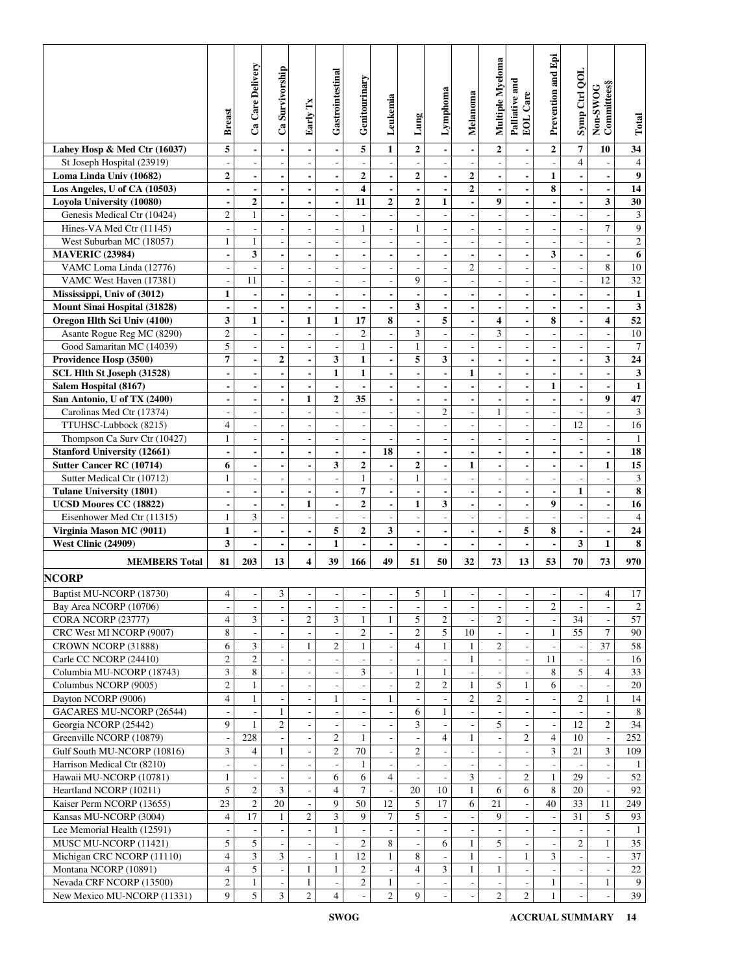|                                                        | <b>Breast</b>                              | Ca Care Delivery                           | Ca Survivorship          | Early Tx                                       | Gastrointestinal                                     | Genitourinary                            | Leukemia                                             | Lung                                       | Lymphoma                         | Melanoma                                             | Multiple Myeloma                            | Palliative and<br>EOL Care                 | Prevention and Epi                         | Symp Ctrl QOL                     | Committees§<br>Non-SWOG                    | To tail                 |
|--------------------------------------------------------|--------------------------------------------|--------------------------------------------|--------------------------|------------------------------------------------|------------------------------------------------------|------------------------------------------|------------------------------------------------------|--------------------------------------------|----------------------------------|------------------------------------------------------|---------------------------------------------|--------------------------------------------|--------------------------------------------|-----------------------------------|--------------------------------------------|-------------------------|
| Lahey Hosp & Med Ctr (16037)                           | 5                                          |                                            |                          | $\blacksquare$                                 | $\blacksquare$                                       | 5                                        | $\mathbf{1}$                                         | $\overline{2}$                             |                                  | $\overline{\phantom{a}}$                             | $\overline{2}$                              |                                            | $\overline{\mathbf{c}}$                    | $\overline{7}$                    | 10                                         | 34                      |
| St Joseph Hospital (23919)                             | $\overline{\phantom{a}}$                   | $\overline{\phantom{a}}$                   | ÷,                       | $\qquad \qquad \blacksquare$                   | $\overline{\phantom{a}}$                             |                                          | $\overline{\phantom{a}}$                             | $\qquad \qquad \blacksquare$               | $\overline{\phantom{a}}$         | $\overline{\phantom{a}}$                             | $\qquad \qquad \blacksquare$                |                                            | $\overline{\phantom{a}}$                   | $\overline{4}$                    |                                            | $\overline{4}$          |
| Loma Linda Univ (10682)                                | $\mathbf{2}$                               | $\blacksquare$                             |                          | $\overline{\phantom{0}}$                       | $\overline{\phantom{a}}$                             | $\overline{2}$                           | $\overline{\phantom{a}}$                             | $\mathbf{2}$                               | $\blacksquare$                   | $\boldsymbol{2}$                                     | $\blacksquare$                              |                                            | $\mathbf{1}$                               | ÷                                 |                                            | $\boldsymbol{9}$        |
| Los Angeles, U of CA (10503)                           |                                            |                                            |                          |                                                | $\blacksquare$                                       | $\overline{\mathbf{4}}$                  |                                                      | $\blacksquare$                             |                                  | $\overline{2}$                                       | $\blacksquare$                              |                                            | 8                                          | $\overline{\phantom{a}}$          |                                            | 14                      |
| Loyola University (10080)                              | $\blacksquare$                             | $\overline{2}$                             | $\blacksquare$           | $\blacksquare$                                 | $\blacksquare$                                       | 11                                       | $\overline{2}$                                       | $\mathbf{2}$                               | $\mathbf{1}$                     | $\blacksquare$                                       | 9                                           | $\blacksquare$                             |                                            | ÷                                 | 3                                          | 30                      |
| Genesis Medical Ctr (10424)                            | $\overline{c}$                             | $\mathbf{1}$                               | $\overline{\phantom{a}}$ | $\overline{\phantom{a}}$                       | $\overline{\phantom{a}}$                             | $\overline{\phantom{a}}$                 | $\overline{\phantom{a}}$                             | $\overline{\phantom{a}}$                   | ÷,                               | $\overline{\phantom{a}}$                             | $\overline{\phantom{a}}$                    | ÷,                                         | $\overline{\phantom{a}}$                   | $\overline{\phantom{a}}$          | $\overline{\phantom{a}}$                   | $\mathfrak{Z}$          |
| Hines-VA Med Ctr (11145)                               | $\frac{1}{2}$                              | $\overline{a}$                             | L,                       | $\overline{a}$                                 | $\overline{\phantom{a}}$                             | $\mathbf{1}$                             | $\overline{a}$                                       | $\mathbf{1}$                               |                                  | ÷,                                                   | $\overline{a}$                              |                                            |                                            | Ĭ.                                | $\tau$                                     | 9                       |
| West Suburban MC (18057)                               | $\mathbf{1}$                               | $\mathbf{1}$                               |                          | $\overline{a}$                                 | $\overline{\phantom{a}}$                             |                                          | J.                                                   | $\sim$                                     |                                  | ÷,                                                   | $\overline{\phantom{a}}$                    |                                            | $\overline{\phantom{a}}$                   | ÷,                                | L,                                         | $\overline{2}$          |
| <b>MAVERIC (23984)</b><br>VAMC Loma Linda (12776)      |                                            | 3<br>÷,                                    | $\blacksquare$           | $\qquad \qquad \blacksquare$                   | $\overline{\phantom{a}}$                             | $\overline{\phantom{a}}$<br>$\sim$       | $\blacksquare$                                       | $\blacksquare$                             | ٠                                | $\overline{\phantom{a}}$<br>$\overline{c}$           |                                             | $\blacksquare$                             | 3<br>$\overline{\phantom{a}}$              | $\overline{\phantom{a}}$          | $\blacksquare$<br>8                        | 6<br>10                 |
| VAMC West Haven (17381)                                | $\overline{\phantom{a}}$<br>$\overline{a}$ | 11                                         | ÷,                       | $\overline{\phantom{a}}$                       | $\overline{\phantom{a}}$                             | $\overline{\phantom{a}}$                 | $\overline{\phantom{a}}$                             | $\overline{\phantom{a}}$<br>9              | $\overline{\phantom{a}}$         | $\overline{a}$                                       | $\overline{\phantom{a}}$                    | $\overline{\phantom{a}}$<br>$\overline{a}$ |                                            | $\overline{\phantom{a}}$          | 12                                         | $\overline{32}$         |
| Mississippi, Univ of (3012)                            | $\mathbf{1}$                               | $\overline{\phantom{a}}$                   | $\overline{\phantom{a}}$ | $\qquad \qquad \blacksquare$<br>$\blacksquare$ | $\overline{\phantom{a}}$<br>$\overline{\phantom{a}}$ |                                          | $\overline{a}$<br>$\overline{\phantom{a}}$           | $\blacksquare$                             | $\overline{\phantom{a}}$         | $\overline{\phantom{a}}$                             | $\overline{a}$<br>$\blacksquare$            | $\blacksquare$                             | $\overline{a}$<br>$\overline{\phantom{a}}$ | $\overline{a}$<br>÷               | $\overline{\phantom{0}}$                   | $\mathbf{1}$            |
| Mount Sinai Hospital (31828)                           |                                            | $\blacksquare$                             |                          | $\blacksquare$                                 | $\overline{\phantom{a}}$                             |                                          | $\overline{\phantom{a}}$                             | 3                                          |                                  | $\overline{\phantom{a}}$                             | $\overline{\phantom{a}}$                    |                                            |                                            | ÷                                 | $\overline{a}$                             | $\mathbf{3}$            |
| Oregon Hlth Sci Univ (4100)                            | 3                                          | $\mathbf{1}$                               |                          | $\mathbf{1}$                                   | $\mathbf{1}$                                         | 17                                       | 8                                                    | $\overline{a}$                             | 5                                |                                                      | 4                                           |                                            | 8                                          | $\overline{a}$                    | 4                                          | 52                      |
| Asante Rogue Reg MC (8290)                             | $\mathbf{2}$                               | $\overline{\phantom{a}}$                   | $\overline{\phantom{a}}$ | $\overline{\phantom{a}}$                       | $\overline{\phantom{a}}$                             | $\mathbf{2}$                             | $\overline{\phantom{a}}$                             | 3                                          | ÷,                               | $\overline{\phantom{a}}$                             | 3                                           | $\overline{\phantom{a}}$                   | $\overline{\phantom{a}}$                   | $\overline{\phantom{a}}$          | $\overline{\phantom{a}}$                   | 10                      |
| Good Samaritan MC (14039)                              | 5                                          | $\blacksquare$                             | $\overline{\phantom{a}}$ | $\overline{\phantom{m}}$                       | $\overline{\phantom{a}}$                             | $\mathbf{1}$                             | $\overline{\phantom{a}}$                             | $\mathbf{1}$                               |                                  | $\overline{a}$                                       | $\overline{\phantom{a}}$                    |                                            | $\overline{a}$                             | $\overline{a}$                    | $\overline{\phantom{a}}$                   | $\overline{7}$          |
| Providence Hosp (3500)                                 | 7                                          | $\overline{\phantom{a}}$                   | $\overline{2}$           | $\blacksquare$                                 | 3                                                    | $\mathbf{1}$                             | $\overline{\phantom{a}}$                             | 5                                          | 3                                | $\overline{\phantom{a}}$                             | $\blacksquare$                              | $\blacksquare$                             | $\blacksquare$                             | $\overline{\phantom{a}}$          | 3                                          | 24                      |
| SCL Hlth St Joseph (31528)                             | $\overline{\phantom{0}}$                   |                                            |                          | $\overline{\phantom{0}}$                       | $\mathbf{1}$                                         | $\mathbf{1}$                             |                                                      | $\blacksquare$                             |                                  | $\mathbf{1}$                                         | $\blacksquare$                              |                                            |                                            | $\overline{\phantom{a}}$          | $\overline{a}$                             | $\mathbf{3}$            |
| Salem Hospital (8167)                                  | $\blacksquare$                             | $\blacksquare$                             | $\blacksquare$           | $\blacksquare$                                 | $\blacksquare$                                       | $\blacksquare$                           | $\blacksquare$                                       | $\blacksquare$                             | $\blacksquare$                   | $\blacksquare$                                       | $\frac{1}{2}$                               | $\blacksquare$                             | $\mathbf{1}$                               | $\blacksquare$                    | $\overline{\phantom{a}}$                   | $\mathbf{1}$            |
| San Antonio, U of TX (2400)                            | $\overline{\phantom{a}}$                   | $\blacksquare$                             | $\blacksquare$           | $\mathbf{1}$                                   | $\overline{2}$                                       | 35                                       | $\blacksquare$                                       | $\overline{\phantom{a}}$                   | $\overline{\phantom{a}}$         | $\blacksquare$                                       | $\blacksquare$                              | $\overline{\phantom{a}}$                   | $\overline{\phantom{a}}$                   | $\overline{\phantom{a}}$          | $\boldsymbol{9}$                           | 47                      |
| Carolinas Med Ctr (17374)                              | L,                                         | $\overline{\phantom{a}}$                   | J.                       | $\overline{a}$                                 | $\sim$                                               | $\sim$                                   | $\sim$                                               | $\overline{a}$                             | $\overline{2}$                   | J.                                                   | $\mathbf{1}$                                | L,                                         | L,                                         | L,                                | L.                                         | $\mathfrak{Z}$          |
| TTUHSC-Lubbock (8215)                                  | $\overline{\mathbf{4}}$                    | $\overline{\phantom{a}}$                   | L,                       | L,                                             | $\overline{\phantom{a}}$                             | $\overline{\phantom{a}}$                 | Ĭ.                                                   | $\overline{\phantom{a}}$                   | $\overline{a}$                   | ٠                                                    | L,                                          | ÷,                                         | ÷,                                         | 12                                | $\overline{a}$                             | 16                      |
| Thompson Ca Surv Ctr (10427)                           | $\mathbf{1}$                               | $\overline{\phantom{a}}$                   |                          | L,                                             | $\overline{\phantom{a}}$                             |                                          |                                                      | $\overline{\phantom{a}}$                   |                                  |                                                      | $\overline{\phantom{a}}$                    |                                            |                                            | ÷,                                | $\overline{\phantom{a}}$                   | $\mathbf{1}$            |
| <b>Stanford University (12661)</b>                     | $\blacksquare$                             | $\blacksquare$                             | $\overline{\phantom{a}}$ | $\blacksquare$                                 | $\blacksquare$                                       | $\blacksquare$                           | 18                                                   | $\overline{\phantom{a}}$                   | $\blacksquare$                   | $\blacksquare$                                       | $\blacksquare$                              | $\blacksquare$                             | $\blacksquare$                             | $\blacksquare$                    | $\overline{\phantom{a}}$                   | 18                      |
| Sutter Cancer RC (10714)                               | 6                                          | $\blacksquare$                             | $\overline{\phantom{a}}$ | $\qquad \qquad \blacksquare$                   | 3                                                    | $\mathbf{2}$                             | $\overline{a}$                                       | $\boldsymbol{2}$                           | $\blacksquare$                   | $\mathbf{1}$                                         | $\blacksquare$                              |                                            | $\blacksquare$                             | $\overline{\phantom{a}}$          | $\mathbf{1}$                               | 15                      |
| Sutter Medical Ctr (10712)                             | 1                                          | $\overline{\phantom{a}}$                   | L,                       | $\overline{a}$                                 | $\overline{\phantom{a}}$                             | $\mathbf{1}$                             | $\overline{\phantom{a}}$                             | $\mathbf{1}$                               |                                  | $\overline{\phantom{a}}$                             | $\overline{a}$                              | $\overline{\phantom{a}}$                   | $\overline{a}$                             | $\overline{a}$                    | $\overline{\phantom{0}}$                   | $\overline{\mathbf{3}}$ |
| <b>Tulane University (1801)</b>                        |                                            | $\blacksquare$                             |                          | $\blacksquare$                                 | $\overline{\phantom{a}}$                             | $\overline{\mathbf{7}}$                  | $\overline{\phantom{a}}$                             | $\blacksquare$                             |                                  | $\overline{\phantom{a}}$                             | $\blacksquare$                              |                                            |                                            | $\mathbf{1}$                      | $\overline{a}$                             | $\overline{\mathbf{8}}$ |
| <b>UCSD Moores CC (18822)</b>                          | $\blacksquare$                             | $\overline{\phantom{a}}$<br>3              | $\overline{a}$           | $\mathbf{1}$                                   | $\blacksquare$                                       | $\overline{2}$                           | $\blacksquare$                                       | $\mathbf{1}$                               | 3                                | $\blacksquare$                                       | $\blacksquare$                              | $\blacksquare$                             | 9                                          | $\overline{a}$                    | $\blacksquare$                             | $\overline{16}$         |
| Eisenhower Med Ctr (11315)<br>Virginia Mason MC (9011) | $\mathbf{1}$<br>$\mathbf{1}$               |                                            | $\overline{\phantom{a}}$ | $\overline{\phantom{a}}$                       | $\overline{\phantom{a}}$<br>5                        | $\overline{\phantom{a}}$<br>$\mathbf{2}$ | $\overline{\phantom{a}}$<br>3                        | $\blacksquare$                             | $\blacksquare$                   | $\overline{\phantom{a}}$                             | $\overline{\phantom{a}}$                    | $\overline{\phantom{a}}$<br>5              | $\overline{\phantom{a}}$<br>8              | $\qquad \qquad \blacksquare$      | $\overline{\phantom{a}}$                   | $\overline{4}$<br>24    |
| West Clinic (24909)                                    | 3                                          | $\overline{\phantom{a}}$<br>$\blacksquare$ | $\blacksquare$           | $\qquad \qquad \blacksquare$<br>$\blacksquare$ | $\mathbf{1}$                                         |                                          | $\blacksquare$                                       | $\overline{\phantom{a}}$<br>$\blacksquare$ | $\blacksquare$                   | $\overline{\phantom{a}}$<br>$\overline{\phantom{a}}$ | $\blacksquare$<br>$\overline{a}$            |                                            | $\overline{a}$                             | $\qquad \qquad \blacksquare$<br>3 | $\overline{\phantom{0}}$<br>$\mathbf{1}$   | 8                       |
|                                                        |                                            |                                            |                          |                                                |                                                      |                                          |                                                      |                                            |                                  |                                                      |                                             |                                            |                                            |                                   |                                            |                         |
| <b>MEMBERS</b> Total                                   | 81                                         | 203                                        | 13                       | 4                                              | 39                                                   | 166                                      | 49                                                   | 51                                         | 50                               | 32                                                   | 73                                          | 13                                         | 53                                         | 70                                | 73                                         | 970                     |
| <b>NCORP</b>                                           |                                            |                                            |                          |                                                |                                                      |                                          |                                                      |                                            |                                  |                                                      |                                             |                                            |                                            |                                   |                                            |                         |
| Baptist MU-NCORP (18730)                               | 4                                          |                                            | $\overline{\mathbf{3}}$  |                                                |                                                      |                                          |                                                      | $\overline{5}$                             | $\mathbf{1}$                     |                                                      |                                             |                                            |                                            |                                   | $\overline{4}$                             | $17\,$                  |
| Bay Area NCORP (10706)                                 | $\overline{\phantom{a}}$                   | $\overline{\phantom{a}}$                   | $\overline{\phantom{a}}$ | $\overline{\phantom{a}}$                       | $\overline{\phantom{a}}$                             | $\overline{\phantom{a}}$                 | $\overline{\phantom{a}}$                             | $\overline{\phantom{a}}$                   |                                  | $\overline{\phantom{a}}$                             | $\overline{\phantom{a}}$                    | $\overline{\phantom{a}}$                   | $\overline{c}$                             | $\overline{\phantom{a}}$          | $\overline{\phantom{a}}$                   | 2                       |
| CORA NCORP (23777)                                     | 4                                          | 3                                          | $\overline{\phantom{a}}$ | 2                                              | 3                                                    | 1                                        | $\mathbf{1}$                                         | 5                                          | 2                                | $\overline{\phantom{a}}$                             | 2                                           |                                            |                                            | 34                                |                                            | 57                      |
| CRC West MI NCORP (9007)                               | $\,8\,$                                    | $\overline{\phantom{a}}$                   |                          | $\overline{\phantom{a}}$                       | $\sim$                                               | $\overline{c}$                           | $\overline{\phantom{a}}$                             | $\overline{c}$                             | 5                                | 10                                                   | $\overline{\phantom{0}}$                    |                                            | $\mathbf{1}$                               | 55                                | $\tau$                                     | 90                      |
| CROWN NCORP (31888)                                    | 6                                          | $\overline{3}$                             |                          | $\mathbf{1}$                                   | $\overline{c}$                                       | $\mathbf{1}$                             |                                                      | $\overline{4}$                             | $\mathbf{1}$                     | $\mathbf{1}$                                         | $\overline{2}$                              |                                            |                                            |                                   | 37                                         | 58                      |
| Carle CC NCORP (24410)                                 | $\mathfrak{2}$                             | $\overline{2}$                             | $\overline{\phantom{a}}$ | $\overline{a}$                                 | $\overline{\phantom{a}}$                             | $\overline{a}$                           | $\overline{\phantom{a}}$                             | $\overline{\phantom{a}}$                   | $\overline{a}$                   | $\mathbf{1}$                                         | $\frac{1}{2}$                               | $\sim$                                     | $11\,$                                     | $\overline{a}$                    | $\overline{\phantom{a}}$                   | 16                      |
| Columbia MU-NCORP (18743)<br>Columbus NCORP (9005)     | 3<br>$\boldsymbol{2}$                      | 8<br>$\mathbf{1}$                          | $\overline{\phantom{a}}$ | $\overline{\phantom{a}}$                       | $\overline{\phantom{a}}$                             | 3                                        | $\overline{\phantom{a}}$<br>$\overline{\phantom{a}}$ | $\mathbf{1}$<br>$\sqrt{2}$                 | $\mathbf{1}$<br>$\boldsymbol{2}$ | $\overline{\phantom{a}}$<br>$\mathbf{1}$             | $\overline{\phantom{a}}$<br>$5\overline{)}$ | $\mathbf{1}$                               | 8<br>6                                     | 5                                 | $\overline{4}$<br>$\overline{\phantom{a}}$ | 33<br>$20\,$            |
| Dayton NCORP (9006)                                    | $\overline{4}$                             | $\mathbf{1}$                               |                          | $\overline{\phantom{0}}$                       | $\mathbf{1}$                                         |                                          | $\mathbf{1}$                                         |                                            |                                  | $\overline{c}$                                       | $\overline{2}$                              |                                            |                                            | $\overline{2}$                    | $\mathbf{1}$                               | 14                      |
| GACARES MU-NCORP (26544)                               |                                            |                                            | 1                        |                                                |                                                      |                                          |                                                      | 6                                          | $\mathbf{1}$                     |                                                      |                                             |                                            |                                            |                                   |                                            | 8                       |
| Georgia NCORP (25442)                                  | 9                                          | $\mathbf{1}$                               | $\overline{c}$           | $\overline{\phantom{a}}$                       |                                                      |                                          | $\overline{\phantom{a}}$                             | 3                                          |                                  | $\overline{\phantom{a}}$                             | 5                                           |                                            | $\overline{\phantom{a}}$                   | 12                                | $\overline{c}$                             | 34                      |
| Greenville NCORP (10879)                               |                                            | 228                                        |                          | $\overline{\phantom{m}}$                       | $\mathfrak{2}$                                       | $\mathbf{1}$                             | $\overline{\phantom{a}}$                             |                                            | $\overline{4}$                   | $\mathbf{1}$                                         | $\overline{\phantom{a}}$                    | $\overline{c}$                             | 4                                          | 10                                | $\overline{\phantom{a}}$                   | 252                     |
| Gulf South MU-NCORP (10816)                            | 3                                          | $\overline{4}$                             | 1                        |                                                | $\mathfrak{2}$                                       | 70                                       | $\overline{\phantom{a}}$                             | $\mathfrak{2}$                             |                                  |                                                      | L,                                          |                                            | 3                                          | 21                                | 3                                          | 109                     |
| Harrison Medical Ctr (8210)                            |                                            | $\sim$                                     |                          |                                                |                                                      | $\mathbf{1}$                             | $\overline{\phantom{a}}$                             |                                            |                                  |                                                      |                                             |                                            |                                            |                                   |                                            | -1                      |
| Hawaii MU-NCORP (10781)                                | $\mathbf{1}$                               | $\mathbb{L}$                               |                          | $\overline{\phantom{a}}$                       | 6                                                    | 6                                        | $\overline{4}$                                       |                                            |                                  | $\overline{3}$                                       | $\overline{\phantom{a}}$                    | $\mathfrak{2}$                             | $\mathbf{1}$                               | 29                                |                                            | 52                      |
| Heartland NCORP (10211)                                | 5                                          | $\overline{2}$                             | 3                        | $\overline{\phantom{a}}$                       | $\overline{4}$                                       | $\tau$                                   | $\Box$                                               | 20                                         | 10                               | $\mathbf{1}$                                         | 6                                           | 6                                          | 8                                          | 20                                | $\overline{\phantom{a}}$                   | 92                      |
| Kaiser Perm NCORP (13655)                              | 23                                         | 2                                          | 20                       | $\overline{\phantom{a}}$                       | 9                                                    | 50                                       | 12                                                   | 5                                          | 17                               | 6                                                    | 21                                          |                                            | 40                                         | 33                                | 11                                         | 249                     |
| Kansas MU-NCORP (3004)                                 | $\overline{4}$                             | 17                                         | $\mathbf{1}$             | $\overline{c}$                                 | 3                                                    | 9                                        | $\tau$                                               | 5                                          |                                  | $\overline{\phantom{a}}$                             | 9                                           |                                            |                                            | 31                                | 5                                          | 93                      |
| Lee Memorial Health (12591)                            |                                            |                                            |                          |                                                | $\mathbf{1}$                                         |                                          |                                                      |                                            |                                  |                                                      |                                             |                                            |                                            |                                   |                                            | -1                      |
| MUSC MU-NCORP (11421)                                  | 5                                          | 5                                          | $\overline{\phantom{a}}$ | $\overline{\phantom{a}}$                       | $\overline{\phantom{a}}$                             | $\overline{2}$                           | $\,8\,$                                              | $\Box$                                     | 6                                | $\mathbf{1}$                                         | 5                                           |                                            | $\overline{\phantom{a}}$                   | $\overline{2}$                    | $\mathbf{1}$                               | 35                      |
| Michigan CRC NCORP (11110)                             | 4                                          | $\mathfrak{Z}$                             | 3                        | $\overline{\phantom{a}}$                       | $\mathbf{1}$                                         | 12                                       | $\mathbf{1}$                                         | 8                                          |                                  | $\mathbf{1}$                                         | $\blacksquare$                              | $\mathbf{1}$                               | 3                                          | $\overline{\phantom{a}}$          | $\overline{\phantom{a}}$                   | 37                      |
| Montana NCORP (10891)                                  | $\overline{4}$                             | 5                                          | $\overline{\phantom{a}}$ | $\mathbf{1}$                                   | $\mathbf{1}$                                         | $\overline{2}$                           | $\Box$                                               | $\overline{4}$                             | 3                                | $\mathbf{1}$                                         | $\mathbf{1}$                                | $\overline{\phantom{a}}$                   |                                            |                                   | $\overline{\phantom{a}}$                   | 22                      |
| Nevada CRF NCORP (13500)                               | $\overline{c}$                             | $\mathbf{1}$                               |                          | $\mathbf{1}$                                   | $\sim$                                               | $\overline{c}$                           | $\mathbf{1}$                                         |                                            |                                  |                                                      |                                             |                                            | $\mathbf{1}$                               |                                   | $\mathbf{1}$                               | 9                       |
| New Mexico MU-NCORP (11331)                            | 9                                          | 5                                          | $\overline{3}$           | $\overline{2}$                                 | $\overline{4}$                                       |                                          | $\overline{2}$                                       | 9                                          |                                  |                                                      | $\overline{2}$                              | $\overline{c}$                             | $\mathbf{1}$                               |                                   | $\Box$                                     | 39                      |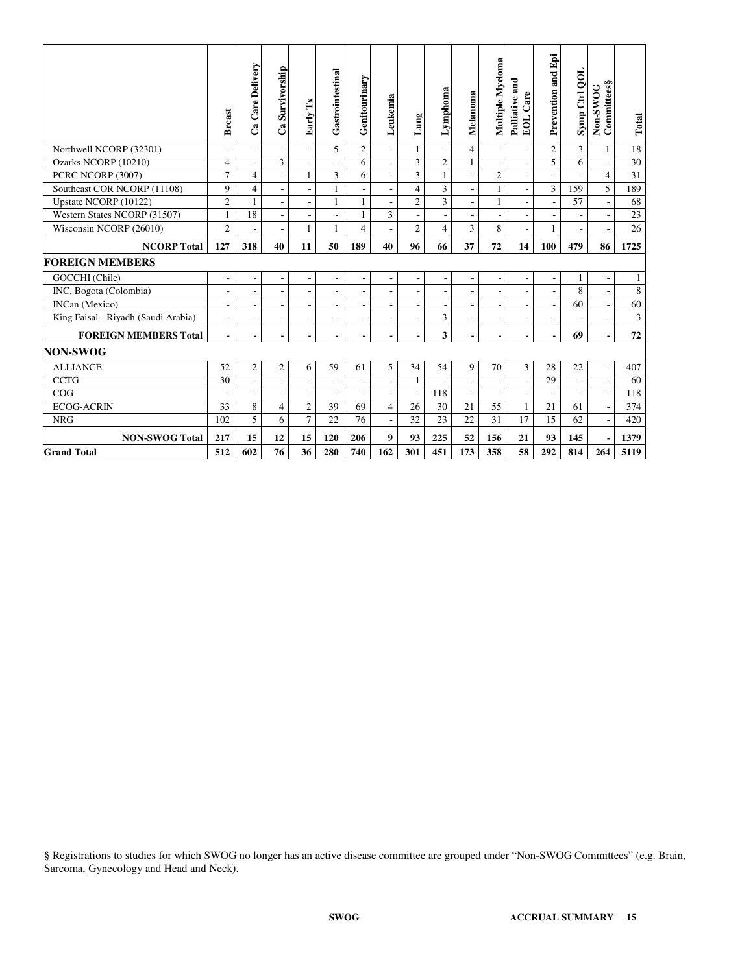|                                     | <b>Breast</b>  | Ca Care Delivery         | Ca Survivorship          | Early Tx                 | Gastrointestinal         | Genitourinary  | Leukemia       | Lung                     | Lymphoma                 | Melanoma                 | Multiple Myeloma         | Palliative and<br>EOL Care | Prevention and Epi       | Symp Ctrl QOL            | Non-SWOG<br>Committees§  | Total        |
|-------------------------------------|----------------|--------------------------|--------------------------|--------------------------|--------------------------|----------------|----------------|--------------------------|--------------------------|--------------------------|--------------------------|----------------------------|--------------------------|--------------------------|--------------------------|--------------|
| Northwell NCORP (32301)             |                |                          |                          |                          | 5                        | $\overline{2}$ |                | $\mathbf{1}$             |                          | $\overline{4}$           |                          |                            | $\overline{2}$           | $\overline{3}$           | $\mathbf{1}$             | 18           |
| Ozarks NCORP (10210)                | $\overline{4}$ | $\overline{a}$           | 3                        |                          | L,                       | 6              |                | 3                        | $\mathfrak{2}$           | $\mathbf{1}$             |                          |                            | 5                        | 6                        | L,                       | $30\,$       |
| PCRC NCORP (3007)                   | $\overline{7}$ | $\overline{4}$           |                          | $\mathbf{1}$             | 3                        | 6              |                | $\overline{3}$           | $\mathbf{1}$             |                          | $\overline{c}$           |                            |                          |                          | $\overline{\mathbf{4}}$  | 31           |
| Southeast COR NCORP (11108)         | 9              | $\overline{4}$           |                          |                          | $\mathbf{1}$             |                |                | $\overline{4}$           | 3                        |                          | 1                        |                            | 3                        | 159                      | 5                        | 189          |
| Upstate NCORP (10122)               | $\mathfrak{2}$ | $\mathbf{1}$             |                          |                          | $\mathbf{1}$             | 1              |                | $\overline{2}$           | 3                        |                          | 1                        |                            |                          | 57                       | ÷,                       | 68           |
| Western States NCORP (31507)        | $\mathbf{1}$   | 18                       |                          |                          | L,                       |                | 3              | L,                       |                          |                          |                          |                            |                          |                          | ÷.                       | 23           |
| Wisconsin NCORP (26010)             | $\mathfrak{2}$ | $\overline{\phantom{a}}$ | $\overline{\phantom{a}}$ | 1                        | 1                        | 4              |                | $\overline{2}$           | $\overline{4}$           | 3                        | 8                        | ÷,                         | 1                        | $\overline{\phantom{a}}$ |                          | 26           |
| <b>NCORP Total</b>                  | 127            | 318                      | 40                       | 11                       | 50                       | 189            | 40             | 96                       | 66                       | 37                       | 72                       | 14                         | 100                      | 479                      | 86                       | 1725         |
| <b>FOREIGN MEMBERS</b>              |                |                          |                          |                          |                          |                |                |                          |                          |                          |                          |                            |                          |                          |                          |              |
| GOCCHI (Chile)                      | $\overline{a}$ | $\overline{\phantom{a}}$ | $\overline{\phantom{a}}$ | $\overline{\phantom{a}}$ | $\overline{\phantom{a}}$ | $\overline{a}$ | $\overline{a}$ | $\overline{a}$           | $\overline{\phantom{a}}$ | $\overline{\phantom{a}}$ | $\overline{\phantom{a}}$ | ÷,                         | $\overline{\phantom{a}}$ | 1                        | $\overline{\phantom{a}}$ | $\mathbf{1}$ |
| INC, Bogota (Colombia)              | ÷,             | $\overline{a}$           |                          |                          | ÷,                       |                |                | $\overline{a}$           |                          |                          | $\overline{a}$           |                            |                          | 8                        | $\overline{a}$           | $\,8\,$      |
| INCan (Mexico)                      |                | $\overline{a}$           |                          |                          | L,                       |                |                | L,                       |                          |                          |                          |                            |                          | 60                       | L.                       | 60           |
| King Faisal - Riyadh (Saudi Arabia) | $\overline{a}$ | $\overline{\phantom{a}}$ | $\overline{\phantom{a}}$ |                          | $\overline{a}$           | ٠              |                | L,                       | 3                        |                          | ٠                        | $\overline{a}$             |                          |                          |                          | 3            |
| <b>FOREIGN MEMBERS Total</b>        | $\blacksquare$ | $\blacksquare$           | $\blacksquare$           |                          | $\blacksquare$           |                |                | $\overline{\phantom{a}}$ | 3                        |                          | $\overline{\phantom{a}}$ | ٠                          |                          | 69                       | ÷                        | 72           |
| <b>NON-SWOG</b>                     |                |                          |                          |                          |                          |                |                |                          |                          |                          |                          |                            |                          |                          |                          |              |
| <b>ALLIANCE</b>                     | 52             | $\mathbf{2}$             | $\overline{c}$           | 6                        | 59                       | 61             | 5              | 34                       | 54                       | 9                        | 70                       | 3                          | 28                       | 22                       | $\overline{\phantom{a}}$ | 407          |
| <b>CCTG</b>                         | 30             | $\bar{\phantom{a}}$      |                          |                          | $\overline{\phantom{a}}$ |                |                | $\mathbf{1}$             |                          |                          |                          |                            | 29                       |                          | $\overline{a}$           | 60           |
| COG                                 |                | $\overline{\phantom{a}}$ |                          |                          | ÷,                       |                |                | J.                       | 118                      |                          |                          |                            |                          |                          | $\overline{\phantom{a}}$ | 118          |
| <b>ECOG-ACRIN</b>                   | 33             | 8                        | $\overline{4}$           | $\overline{2}$           | 39                       | 69             | 4              | 26                       | 30                       | 21                       | 55                       | 1                          | 21                       | 61                       | $\overline{a}$           | 374          |
| <b>NRG</b>                          | 102            | 5                        | 6                        | $\overline{7}$           | 22                       | 76             |                | 32                       | 23                       | 22                       | 31                       | 17                         | 15                       | 62                       | $\overline{a}$           | 420          |
| <b>NON-SWOG Total</b>               | 217            | 15                       | 12                       | 15                       | 120                      | 206            | 9              | 93                       | 225                      | 52                       | 156                      | 21                         | 93                       | 145                      |                          | 1379         |
| <b>Grand Total</b>                  | 512            | 602                      | 76                       | 36                       | 280                      | 740            | 162            | 301                      | 451                      | 173                      | 358                      | 58                         | 292                      | 814                      | 264                      | 5119         |

§ Registrations to studies for which SWOG no longer has an active disease committee are grouped under "Non-SWOG Committees" (e.g. Brain, Sarcoma, Gynecology and Head and Neck).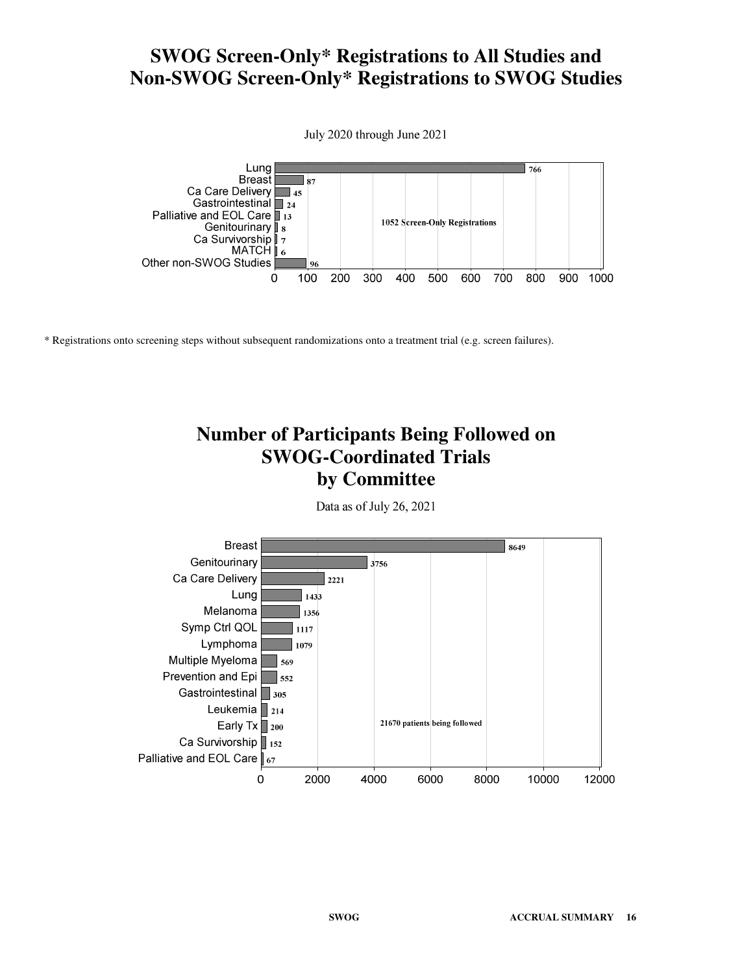### **SWOG Screen-Only\* Registrations to All Studies and Non-SWOG Screen-Only\* Registrations to SWOG Studies**



\* Registrations onto screening steps without subsequent randomizations onto a treatment trial (e.g. screen failures).

## **Number of Participants Being Followed on SWOG-Coordinated Trials by Committee**

Data as of July 26, 2021

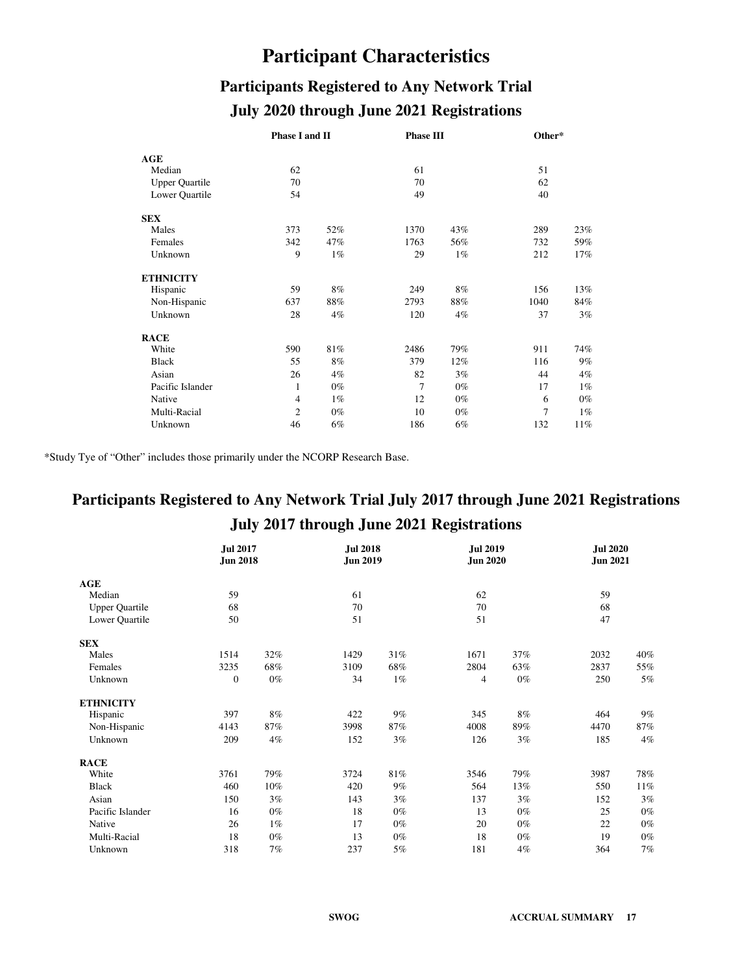# **Participant Characteristics**

# **Participants Registered to Any Network Trial July 2020 through June 2021 Registrations**

|                       | Phase I and II |       | <b>Phase III</b> |       | Other* |       |  |
|-----------------------|----------------|-------|------------------|-------|--------|-------|--|
| AGE                   |                |       |                  |       |        |       |  |
| Median                | 62             |       | 61               |       | 51     |       |  |
| <b>Upper Quartile</b> | 70             |       | 70               |       | 62     |       |  |
| Lower Quartile        | 54             |       | 49               |       | 40     |       |  |
| <b>SEX</b>            |                |       |                  |       |        |       |  |
| Males                 | 373            | 52%   | 1370             | 43%   | 289    | 23%   |  |
| Females               | 342            | 47%   | 1763             | 56%   | 732    | 59%   |  |
| Unknown               | 9              | 1%    | 29               | $1\%$ | 212    | 17%   |  |
| <b>ETHNICITY</b>      |                |       |                  |       |        |       |  |
| Hispanic              | 59             | 8%    | 249              | 8%    | 156    | 13%   |  |
| Non-Hispanic          | 637            | 88%   | 2793             | 88%   | 1040   | 84%   |  |
| Unknown               | 28             | 4%    | 120              | 4%    | 37     | 3%    |  |
| <b>RACE</b>           |                |       |                  |       |        |       |  |
| White                 | 590            | 81%   | 2486             | 79%   | 911    | 74%   |  |
| <b>Black</b>          | 55             | 8%    | 379              | 12%   | 116    | 9%    |  |
| Asian                 | 26             | 4%    | 82               | 3%    | 44     | 4%    |  |
| Pacific Islander      | 1              | $0\%$ | 7                | $0\%$ | 17     | 1%    |  |
| Native                | $\overline{4}$ | $1\%$ | 12               | $0\%$ | 6      | $0\%$ |  |
| Multi-Racial          | $\overline{2}$ | $0\%$ | 10               | $0\%$ | 7      | 1%    |  |
| Unknown               | 46             | 6%    | 186              | 6%    | 132    | 11%   |  |

\*Study Tye of "Other" includes those primarily under the NCORP Research Base.

# **Participants Registered to Any Network Trial July 2017 through June 2021 Registrations July 2017 through June 2021 Registrations**

|                       | <b>Jul 2017</b><br><b>Jun 2018</b> |       | <b>Jul 2018</b><br><b>Jun 2019</b> |       | <b>Jul 2019</b><br><b>Jun 2020</b> |       | <b>Jul 2020</b><br><b>Jun 2021</b> |        |
|-----------------------|------------------------------------|-------|------------------------------------|-------|------------------------------------|-------|------------------------------------|--------|
| AGE                   |                                    |       |                                    |       |                                    |       |                                    |        |
| Median                | 59                                 |       | 61                                 |       | 62                                 |       | 59                                 |        |
| <b>Upper Quartile</b> | 68                                 |       | 70                                 |       | 70                                 |       | 68                                 |        |
| Lower Quartile        | 50                                 |       | 51                                 |       | 51                                 |       | 47                                 |        |
| <b>SEX</b>            |                                    |       |                                    |       |                                    |       |                                    |        |
| Males                 | 1514                               | 32%   | 1429                               | 31%   | 1671                               | 37%   | 2032                               | 40%    |
| Females               | 3235                               | 68%   | 3109                               | 68%   | 2804                               | 63%   | 2837                               | 55%    |
| Unknown               | $\boldsymbol{0}$                   | $0\%$ | 34                                 | $1\%$ | 4                                  | $0\%$ | 250                                | $5\%$  |
| <b>ETHNICITY</b>      |                                    |       |                                    |       |                                    |       |                                    |        |
| Hispanic              | 397                                | 8%    | 422                                | $9\%$ | 345                                | 8%    | 464                                | 9%     |
| Non-Hispanic          | 4143                               | 87%   | 3998                               | 87%   | 4008                               | 89%   | 4470                               | 87%    |
| Unknown               | 209                                | 4%    | 152                                | 3%    | 126                                | 3%    | 185                                | $4\%$  |
| <b>RACE</b>           |                                    |       |                                    |       |                                    |       |                                    |        |
| White                 | 3761                               | 79%   | 3724                               | 81%   | 3546                               | 79%   | 3987                               | 78%    |
| <b>Black</b>          | 460                                | 10%   | 420                                | 9%    | 564                                | 13%   | 550                                | $11\%$ |
| Asian                 | 150                                | 3%    | 143                                | 3%    | 137                                | 3%    | 152                                | 3%     |
| Pacific Islander      | 16                                 | $0\%$ | 18                                 | $0\%$ | 13                                 | $0\%$ | 25                                 | $0\%$  |
| Native                | 26                                 | $1\%$ | 17                                 | $0\%$ | 20                                 | $0\%$ | 22                                 | $0\%$  |
| Multi-Racial          | 18                                 | $0\%$ | 13                                 | $0\%$ | 18                                 | $0\%$ | 19                                 | $0\%$  |
| Unknown               | 318                                | 7%    | 237                                | 5%    | 181                                | 4%    | 364                                | $7\%$  |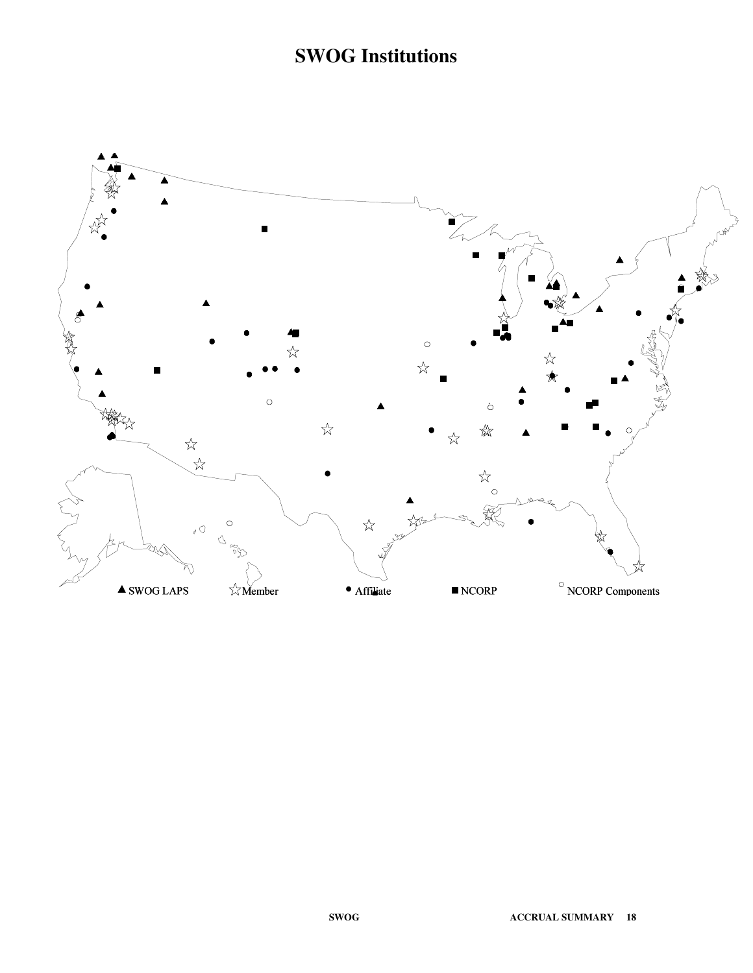